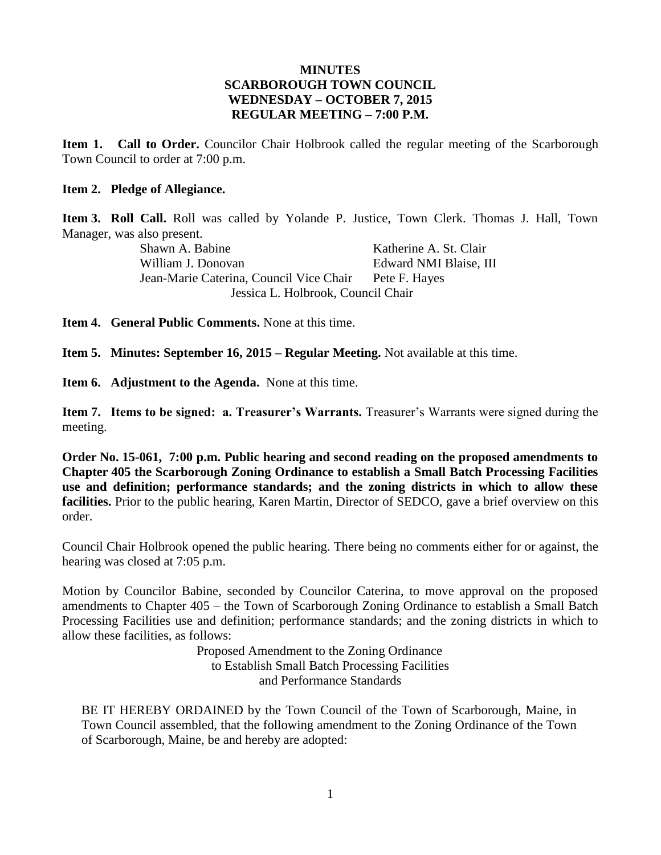#### **MINUTES SCARBOROUGH TOWN COUNCIL WEDNESDAY – OCTOBER 7, 2015 REGULAR MEETING – 7:00 P.M.**

**Item 1. Call to Order.** Councilor Chair Holbrook called the regular meeting of the Scarborough Town Council to order at 7:00 p.m.

#### **Item 2. Pledge of Allegiance.**

**Item 3. Roll Call.** Roll was called by Yolande P. Justice, Town Clerk. Thomas J. Hall, Town Manager, was also present.

Shawn A. Babine **Katherine A. St. Clair** William J. Donovan **Edward NMI Blaise**, III Jean-Marie Caterina, Council Vice Chair Pete F. Hayes Jessica L. Holbrook, Council Chair

**Item 4. General Public Comments.** None at this time.

**Item 5. Minutes: September 16, 2015 – Regular Meeting.** Not available at this time.

**Item 6. Adjustment to the Agenda.** None at this time.

**Item 7. Items to be signed: a. Treasurer's Warrants.** Treasurer's Warrants were signed during the meeting.

**Order No. 15-061, 7:00 p.m. Public hearing and second reading on the proposed amendments to Chapter 405 the Scarborough Zoning Ordinance to establish a Small Batch Processing Facilities use and definition; performance standards; and the zoning districts in which to allow these facilities.** Prior to the public hearing, Karen Martin, Director of SEDCO, gave a brief overview on this order.

Council Chair Holbrook opened the public hearing. There being no comments either for or against, the hearing was closed at 7:05 p.m.

Motion by Councilor Babine, seconded by Councilor Caterina, to move approval on the proposed amendments to Chapter 405 – the Town of Scarborough Zoning Ordinance to establish a Small Batch Processing Facilities use and definition; performance standards; and the zoning districts in which to allow these facilities, as follows:

> Proposed Amendment to the Zoning Ordinance to Establish Small Batch Processing Facilities and Performance Standards

BE IT HEREBY ORDAINED by the Town Council of the Town of Scarborough, Maine, in Town Council assembled, that the following amendment to the Zoning Ordinance of the Town of Scarborough, Maine, be and hereby are adopted: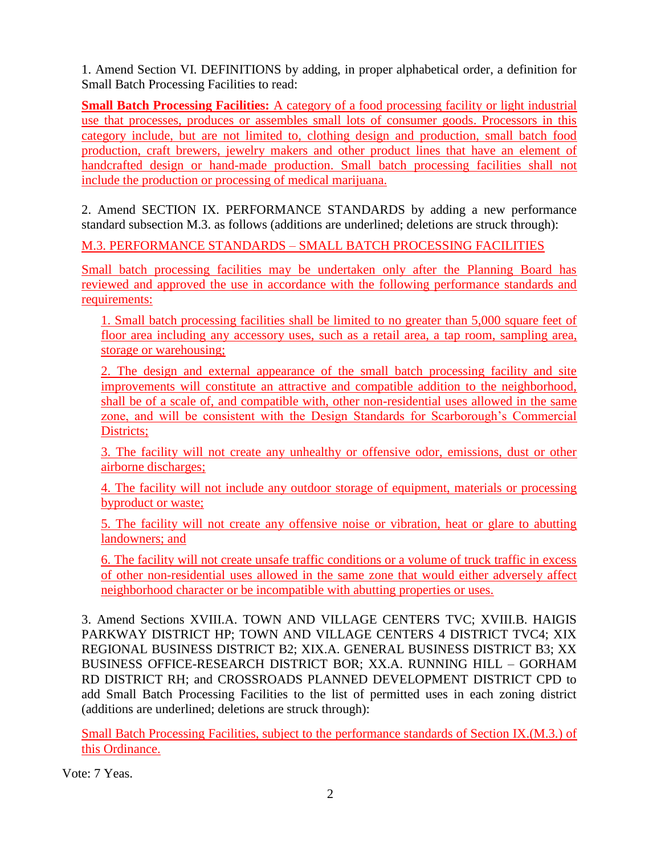1. Amend Section VI. DEFINITIONS by adding, in proper alphabetical order, a definition for Small Batch Processing Facilities to read:

**Small Batch Processing Facilities:** A category of a food processing facility or light industrial use that processes, produces or assembles small lots of consumer goods. Processors in this category include, but are not limited to, clothing design and production, small batch food production, craft brewers, jewelry makers and other product lines that have an element of handcrafted design or hand-made production. Small batch processing facilities shall not include the production or processing of medical marijuana.

2. Amend SECTION IX. PERFORMANCE STANDARDS by adding a new performance standard subsection M.3. as follows (additions are underlined; deletions are struck through):

M.3. PERFORMANCE STANDARDS – SMALL BATCH PROCESSING FACILITIES

Small batch processing facilities may be undertaken only after the Planning Board has reviewed and approved the use in accordance with the following performance standards and requirements:

1. Small batch processing facilities shall be limited to no greater than 5,000 square feet of floor area including any accessory uses, such as a retail area, a tap room, sampling area, storage or warehousing;

2. The design and external appearance of the small batch processing facility and site improvements will constitute an attractive and compatible addition to the neighborhood, shall be of a scale of, and compatible with, other non-residential uses allowed in the same zone, and will be consistent with the Design Standards for Scarborough's Commercial Districts;

3. The facility will not create any unhealthy or offensive odor, emissions, dust or other airborne discharges;

4. The facility will not include any outdoor storage of equipment, materials or processing byproduct or waste;

5. The facility will not create any offensive noise or vibration, heat or glare to abutting landowners; and

6. The facility will not create unsafe traffic conditions or a volume of truck traffic in excess of other non-residential uses allowed in the same zone that would either adversely affect neighborhood character or be incompatible with abutting properties or uses.

3. Amend Sections XVIII.A. TOWN AND VILLAGE CENTERS TVC; XVIII.B. HAIGIS PARKWAY DISTRICT HP; TOWN AND VILLAGE CENTERS 4 DISTRICT TVC4; XIX REGIONAL BUSINESS DISTRICT B2; XIX.A. GENERAL BUSINESS DISTRICT B3; XX BUSINESS OFFICE-RESEARCH DISTRICT BOR; XX.A. RUNNING HILL – GORHAM RD DISTRICT RH; and CROSSROADS PLANNED DEVELOPMENT DISTRICT CPD to add Small Batch Processing Facilities to the list of permitted uses in each zoning district (additions are underlined; deletions are struck through):

Small Batch Processing Facilities, subject to the performance standards of Section IX.(M.3.) of this Ordinance.

Vote: 7 Yeas.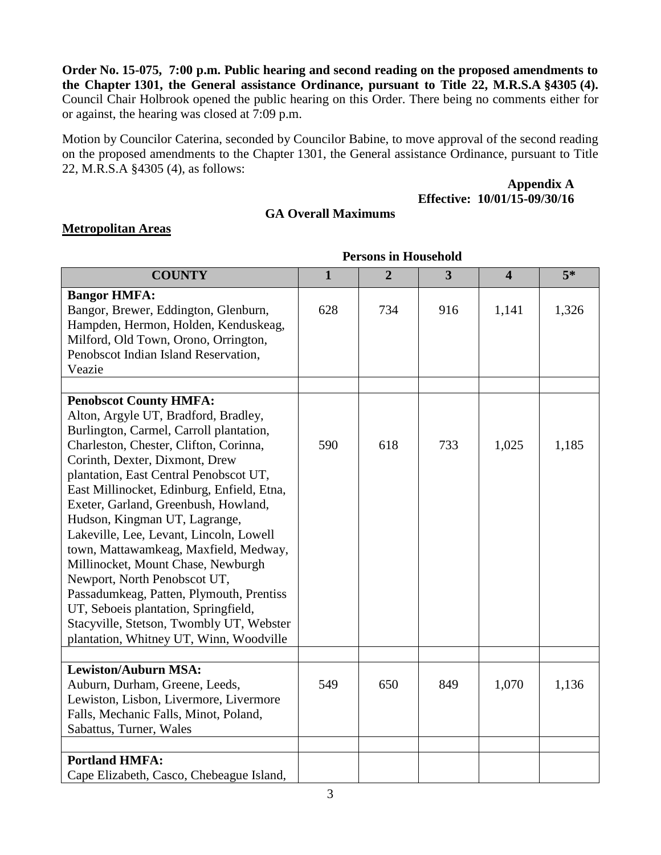**Order No. 15-075, 7:00 p.m. Public hearing and second reading on the proposed amendments to the Chapter 1301, the General assistance Ordinance, pursuant to Title 22, M.R.S.A §4305 (4).** Council Chair Holbrook opened the public hearing on this Order. There being no comments either for or against, the hearing was closed at 7:09 p.m.

Motion by Councilor Caterina, seconded by Councilor Babine, to move approval of the second reading on the proposed amendments to the Chapter 1301, the General assistance Ordinance, pursuant to Title 22, M.R.S.A §4305 (4), as follows:

> **Appendix A Effective: 10/01/15-09/30/16**

### **GA Overall Maximums**

### **Metropolitan Areas**

| <b>COUNTY</b>                                                                                                                                                                                                                                                                                                                                                                                                                                                                                                                                                                                                                                                                                      | $\mathbf{1}$ | $\overline{2}$ | $\overline{\mathbf{3}}$ | $\overline{\mathbf{4}}$ | $5*$  |
|----------------------------------------------------------------------------------------------------------------------------------------------------------------------------------------------------------------------------------------------------------------------------------------------------------------------------------------------------------------------------------------------------------------------------------------------------------------------------------------------------------------------------------------------------------------------------------------------------------------------------------------------------------------------------------------------------|--------------|----------------|-------------------------|-------------------------|-------|
| <b>Bangor HMFA:</b><br>Bangor, Brewer, Eddington, Glenburn,<br>Hampden, Hermon, Holden, Kenduskeag,<br>Milford, Old Town, Orono, Orrington,<br>Penobscot Indian Island Reservation,<br>Veazie                                                                                                                                                                                                                                                                                                                                                                                                                                                                                                      | 628          | 734            | 916                     | 1,141                   | 1,326 |
| <b>Penobscot County HMFA:</b><br>Alton, Argyle UT, Bradford, Bradley,<br>Burlington, Carmel, Carroll plantation,<br>Charleston, Chester, Clifton, Corinna,<br>Corinth, Dexter, Dixmont, Drew<br>plantation, East Central Penobscot UT,<br>East Millinocket, Edinburg, Enfield, Etna,<br>Exeter, Garland, Greenbush, Howland,<br>Hudson, Kingman UT, Lagrange,<br>Lakeville, Lee, Levant, Lincoln, Lowell<br>town, Mattawamkeag, Maxfield, Medway,<br>Millinocket, Mount Chase, Newburgh<br>Newport, North Penobscot UT,<br>Passadumkeag, Patten, Plymouth, Prentiss<br>UT, Seboeis plantation, Springfield,<br>Stacyville, Stetson, Twombly UT, Webster<br>plantation, Whitney UT, Winn, Woodville | 590          | 618            | 733                     | 1,025                   | 1,185 |
| <b>Lewiston/Auburn MSA:</b><br>Auburn, Durham, Greene, Leeds,<br>Lewiston, Lisbon, Livermore, Livermore<br>Falls, Mechanic Falls, Minot, Poland,<br>Sabattus, Turner, Wales                                                                                                                                                                                                                                                                                                                                                                                                                                                                                                                        | 549          | 650            | 849                     | 1,070                   | 1,136 |
| <b>Portland HMFA:</b><br>Cape Elizabeth, Casco, Chebeague Island,                                                                                                                                                                                                                                                                                                                                                                                                                                                                                                                                                                                                                                  |              |                |                         |                         |       |

#### **Persons in Household**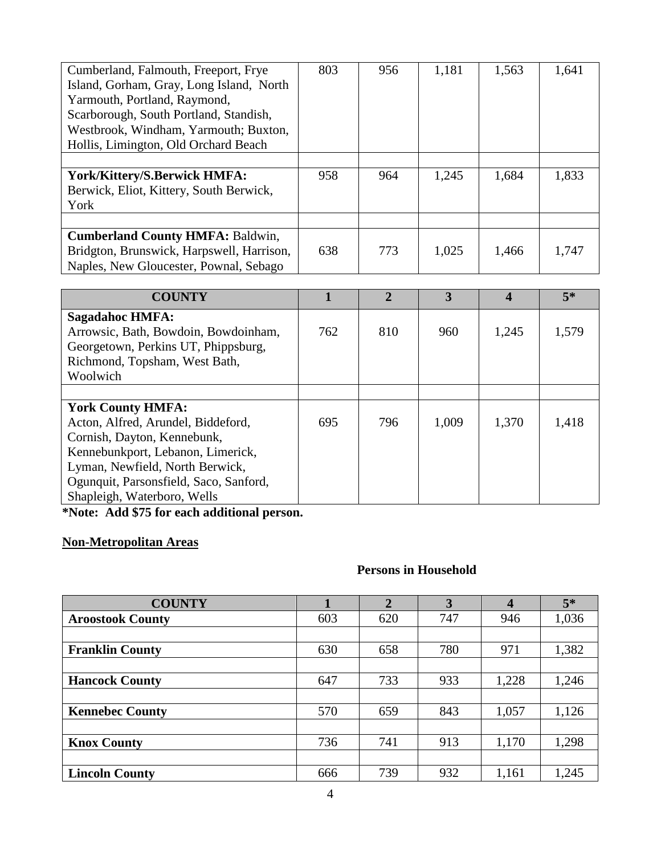| Cumberland, Falmouth, Freeport, Frye      | 803 | 956 | 1,181 | 1,563 | 1,641 |
|-------------------------------------------|-----|-----|-------|-------|-------|
| Island, Gorham, Gray, Long Island, North  |     |     |       |       |       |
| Yarmouth, Portland, Raymond,              |     |     |       |       |       |
| Scarborough, South Portland, Standish,    |     |     |       |       |       |
| Westbrook, Windham, Yarmouth; Buxton,     |     |     |       |       |       |
| Hollis, Limington, Old Orchard Beach      |     |     |       |       |       |
|                                           |     |     |       |       |       |
| York/Kittery/S.Berwick HMFA:              | 958 | 964 | 1,245 | 1,684 | 1,833 |
| Berwick, Eliot, Kittery, South Berwick,   |     |     |       |       |       |
| York                                      |     |     |       |       |       |
|                                           |     |     |       |       |       |
| <b>Cumberland County HMFA: Baldwin,</b>   |     |     |       |       |       |
| Bridgton, Brunswick, Harpswell, Harrison, | 638 | 773 | 1,025 | 1,466 | 1,747 |
| Naples, New Gloucester, Pownal, Sebago    |     |     |       |       |       |

| <b>COUNTY</b>                                                        |     | $\mathbf{2}$ | 3     | 4     | $5*$  |
|----------------------------------------------------------------------|-----|--------------|-------|-------|-------|
| Sagadahoc HMFA:<br>Arrowsic, Bath, Bowdoin, Bowdoinham,              | 762 | 810          | 960   | 1,245 | 1,579 |
| Georgetown, Perkins UT, Phippsburg,<br>Richmond, Topsham, West Bath, |     |              |       |       |       |
| Woolwich                                                             |     |              |       |       |       |
|                                                                      |     |              |       |       |       |
| <b>York County HMFA:</b>                                             |     |              |       |       |       |
| Acton, Alfred, Arundel, Biddeford,<br>Cornish, Dayton, Kennebunk,    | 695 | 796          | 1,009 | 1,370 | 1,418 |
| Kennebunkport, Lebanon, Limerick,                                    |     |              |       |       |       |
| Lyman, Newfield, North Berwick,                                      |     |              |       |       |       |
| Ogunquit, Parsonsfield, Saco, Sanford,                               |     |              |       |       |       |
| Shapleigh, Waterboro, Wells                                          |     |              |       |       |       |

**\*Note: Add \$75 for each additional person.**

## **Non-Metropolitan Areas**

# **Persons in Household**

| <b>COUNTY</b>           |     | $\overline{2}$ | 3   | $\overline{\mathbf{4}}$ | $5*$  |
|-------------------------|-----|----------------|-----|-------------------------|-------|
| <b>Aroostook County</b> | 603 | 620            | 747 | 946                     | 1,036 |
|                         |     |                |     |                         |       |
| <b>Franklin County</b>  | 630 | 658            | 780 | 971                     | 1,382 |
|                         |     |                |     |                         |       |
| <b>Hancock County</b>   | 647 | 733            | 933 | 1,228                   | 1,246 |
|                         |     |                |     |                         |       |
| <b>Kennebec County</b>  | 570 | 659            | 843 | 1,057                   | 1,126 |
|                         |     |                |     |                         |       |
| <b>Knox County</b>      | 736 | 741            | 913 | 1,170                   | 1,298 |
|                         |     |                |     |                         |       |
| <b>Lincoln County</b>   | 666 | 739            | 932 | 1,161                   | 1,245 |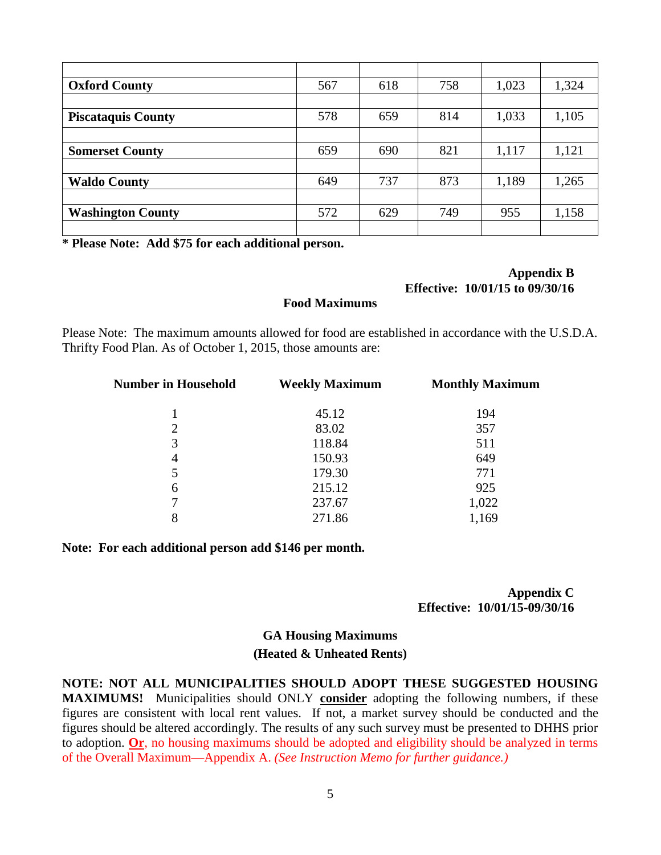| <b>Oxford County</b>      | 567 | 618 | 758 | 1,023 | 1,324 |
|---------------------------|-----|-----|-----|-------|-------|
|                           |     |     |     |       |       |
| <b>Piscataquis County</b> | 578 | 659 | 814 | 1,033 | 1,105 |
|                           |     |     |     |       |       |
| <b>Somerset County</b>    | 659 | 690 | 821 | 1,117 | 1,121 |
|                           |     |     |     |       |       |
| <b>Waldo County</b>       | 649 | 737 | 873 | 1,189 | 1,265 |
|                           |     |     |     |       |       |
| <b>Washington County</b>  | 572 | 629 | 749 | 955   | 1,158 |
|                           |     |     |     |       |       |

**\* Please Note: Add \$75 for each additional person.**

#### **Appendix B Effective: 10/01/15 to 09/30/16**

#### **Food Maximums**

Please Note: The maximum amounts allowed for food are established in accordance with the U.S.D.A. Thrifty Food Plan. As of October 1, 2015, those amounts are:

| <b>Number in Household</b> | <b>Weekly Maximum</b> | <b>Monthly Maximum</b> |  |  |
|----------------------------|-----------------------|------------------------|--|--|
|                            | 45.12                 | 194                    |  |  |
| $\overline{2}$             | 83.02                 | 357                    |  |  |
| 3                          | 118.84                | 511                    |  |  |
| 4                          | 150.93                | 649                    |  |  |
| 5                          | 179.30                | 771                    |  |  |
| 6                          | 215.12                | 925                    |  |  |
| 7                          | 237.67                | 1,022                  |  |  |
| 8                          | 271.86                | 1,169                  |  |  |

**Note: For each additional person add \$146 per month.**

**Appendix C Effective: 10/01/15-09/30/16**

### **GA Housing Maximums (Heated & Unheated Rents)**

**NOTE: NOT ALL MUNICIPALITIES SHOULD ADOPT THESE SUGGESTED HOUSING MAXIMUMS!** Municipalities should ONLY **consider** adopting the following numbers, if these figures are consistent with local rent values. If not, a market survey should be conducted and the figures should be altered accordingly. The results of any such survey must be presented to DHHS prior to adoption. **Or**, no housing maximums should be adopted and eligibility should be analyzed in terms of the Overall Maximum—Appendix A. *(See Instruction Memo for further guidance.)*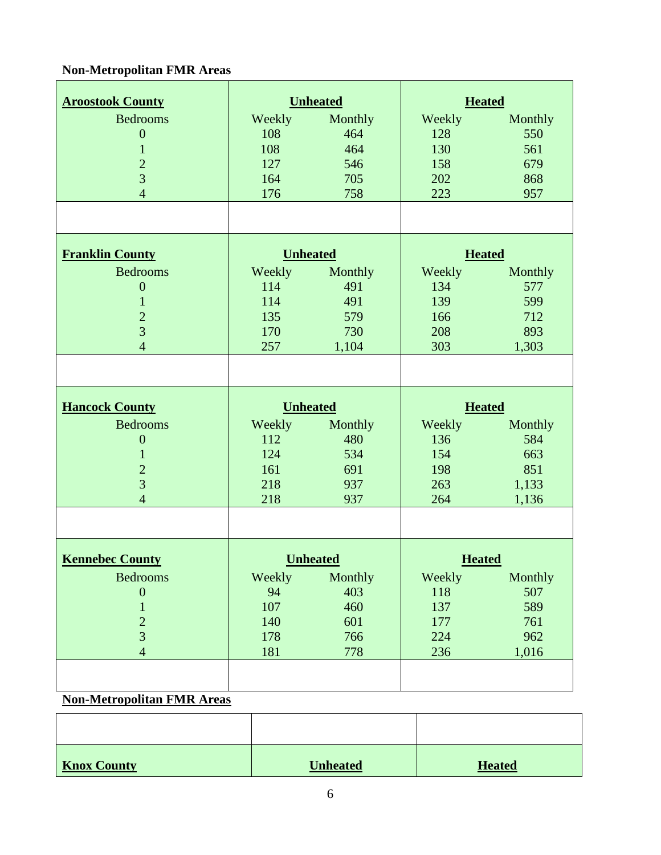## **Non-Metropolitan FMR Areas**

| <b>Aroostook County</b> |                 | <b>Unheated</b> | <b>Heated</b> |         |  |
|-------------------------|-----------------|-----------------|---------------|---------|--|
| <b>Bedrooms</b>         | Weekly          | Monthly         | Weekly        | Monthly |  |
| $\boldsymbol{0}$        | 108             | 464             | 128           | 550     |  |
| $\mathbf{1}$            | 108             | 464             | 130           | 561     |  |
| $\overline{c}$          | 127             | 546             | 158           | 679     |  |
| $\overline{3}$          | 164             | 705             | 202           | 868     |  |
| $\overline{4}$          | 176             | 758             | 223           | 957     |  |
|                         |                 |                 |               |         |  |
| <b>Franklin County</b>  | <b>Unheated</b> |                 | <b>Heated</b> |         |  |
| <b>Bedrooms</b>         | Weekly          | Monthly         | Weekly        | Monthly |  |
| $\boldsymbol{0}$        | 114             | 491             | 134           | 577     |  |
| $\mathbf{1}$            | 114             | 491             | 139           | 599     |  |
| $\overline{2}$          | 135             | 579             | 166           | 712     |  |
| $\overline{3}$          | 170             | 730             | 208           | 893     |  |
| $\overline{4}$          | 257             | 1,104           | 303           | 1,303   |  |
|                         |                 |                 |               |         |  |
| <b>Hancock County</b>   | <b>Unheated</b> |                 | <b>Heated</b> |         |  |
| <b>Bedrooms</b>         | Weekly          | Monthly         | Weekly        | Monthly |  |
| $\mathbf{0}$            | 112             | 480             | 136           | 584     |  |
|                         |                 |                 |               |         |  |
| $\mathbf{1}$            | 124             | 534             | 154           | 663     |  |
| $\overline{c}$          | 161             | 691             | 198           | 851     |  |
| $\overline{3}$          | 218             | 937             | 263           | 1,133   |  |
| $\overline{4}$          | 218             | 937             | 264           | 1,136   |  |
|                         |                 |                 |               |         |  |
| <b>Kennebec County</b>  |                 | <b>Unheated</b> | <b>Heated</b> |         |  |
| <b>Bedrooms</b>         | Weekly          | Monthly         | Weekly        | Monthly |  |
| $\boldsymbol{0}$        | 94              | 403             | 118           | 507     |  |
| $\mathbf{1}$            | 107             | 460             | 137           | 589     |  |
| $\overline{c}$          | 140             | 601             | 177           | 761     |  |
| $\overline{3}$          | 178             | 766             | 224           | 962     |  |
| $\overline{4}$          | 181             | 778             | 236           | 1,016   |  |
|                         |                 |                 |               |         |  |

#### **Non-Metropolitan FMR Areas**

| <b>Knox County</b> | <b>Unheated</b> | <b>Heated</b> |
|--------------------|-----------------|---------------|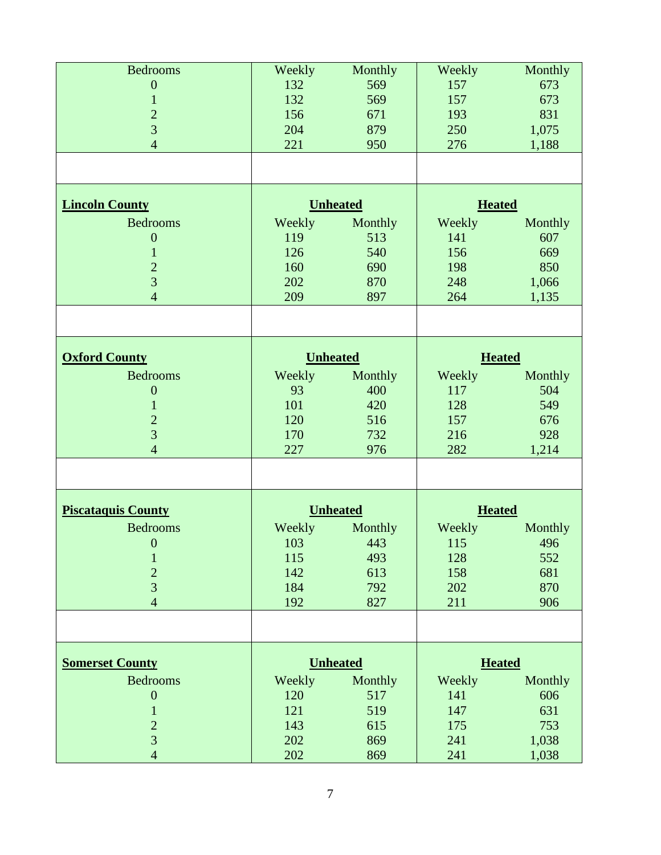| <b>Bedrooms</b>                  | Weekly          | Monthly         | Weekly        | Monthly       |  |
|----------------------------------|-----------------|-----------------|---------------|---------------|--|
| $\boldsymbol{0}$                 | 132             | 569             | 157           | 673           |  |
| 1                                | 132             | 569             | 157           | 673           |  |
| $\overline{c}$                   | 156             | 671             | 193           | 831           |  |
| $\overline{3}$                   | 204             | 879             | 250           | 1,075         |  |
| $\overline{4}$                   | 221             | 950             | 276           | 1,188         |  |
|                                  |                 |                 |               |               |  |
|                                  |                 |                 |               |               |  |
| <b>Lincoln County</b>            |                 | <b>Unheated</b> | <b>Heated</b> |               |  |
| <b>Bedrooms</b>                  | Weekly          | Monthly         | Weekly        | Monthly       |  |
| $\mathbf{0}$                     | 119             | 513             | 141           | 607           |  |
| $\mathbf{1}$                     | 126             | 540             | 156           | 669           |  |
| $\overline{c}$                   | 160             | 690             | 198           | 850           |  |
| $\overline{3}$                   | 202             | 870             | 248           | 1,066         |  |
| $\overline{4}$                   | 209             | 897             | 264           | 1,135         |  |
|                                  |                 |                 |               |               |  |
|                                  |                 |                 |               |               |  |
| <b>Oxford County</b>             |                 | <b>Unheated</b> |               | <b>Heated</b> |  |
| <b>Bedrooms</b>                  | Weekly          | Monthly         | Weekly        | Monthly       |  |
| $\mathbf{0}$                     | 93              | 400             | 117           | 504           |  |
| $\mathbf{1}$                     | 101             | 420             | 128           | 549           |  |
| $\overline{c}$                   | 120             | 516             | 157           | 676           |  |
| $\overline{3}$                   | 170             | 732             | 216           | 928           |  |
| $\overline{4}$                   | 227             | 976             | 282           | 1,214         |  |
|                                  |                 |                 |               |               |  |
|                                  |                 |                 |               |               |  |
| <b>Piscataquis County</b>        |                 | <b>Unheated</b> | <b>Heated</b> |               |  |
| <b>Bedrooms</b>                  | Weekly          | Monthly         | Weekly        | Monthly       |  |
| $\overline{\mathbf{0}}$          | $103$ and $103$ | 443             | 115           | 496           |  |
| $\mathbf{1}$                     | 115             | 493             | 128           | 552           |  |
| $\overline{c}$                   | 142             | 613             | 158           | 681           |  |
| $\overline{3}$                   | 184             | 792             | 202           | 870           |  |
| $\overline{4}$                   | 192             | 827             | 211           | 906           |  |
|                                  |                 |                 |               |               |  |
| <b>Somerset County</b>           |                 | <b>Unheated</b> |               | <b>Heated</b> |  |
|                                  |                 |                 |               |               |  |
| <b>Bedrooms</b>                  | Weekly          | Monthly         | Weekly        | Monthly       |  |
| $\boldsymbol{0}$                 | 120             | 517             | 141           | 606           |  |
| $\mathbf 1$                      | 121             | 519             | 147           | 631           |  |
| $\overline{c}$<br>$\overline{3}$ | 143             | 615             | 175           | 753           |  |
|                                  | 202             | 869             | 241           | 1,038         |  |
| $\overline{4}$                   | 202             | 869             | 241           | 1,038         |  |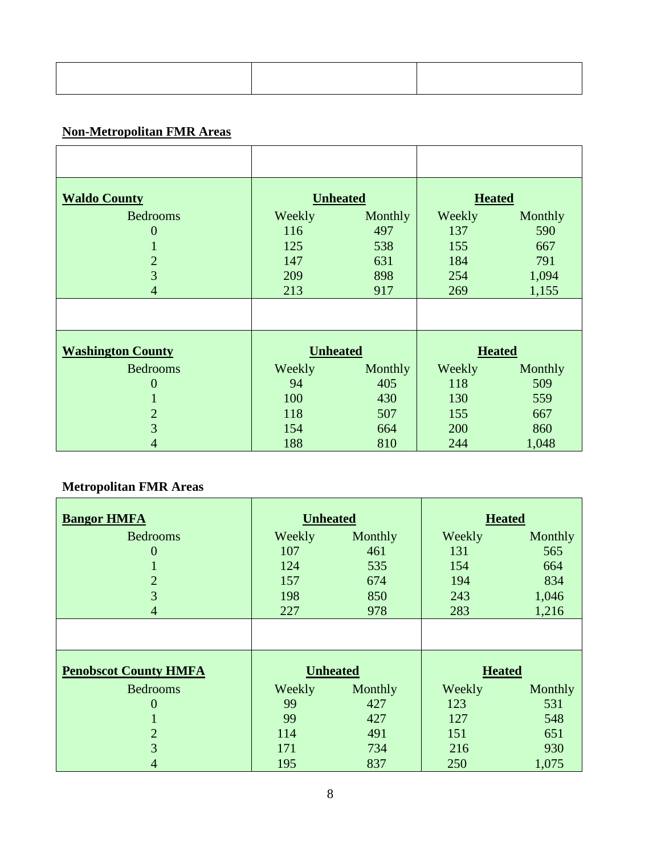# **Non-Metropolitan FMR Areas**

| <b>Waldo County</b>      |                 | <b>Unheated</b> | <b>Heated</b> |         |
|--------------------------|-----------------|-----------------|---------------|---------|
| <b>Bedrooms</b>          | Weekly          | Monthly         | Weekly        | Monthly |
| $\mathbf{0}$             | 116             | 497             | 137           | 590     |
| T.                       | 125             | 538             | 155           | 667     |
| $\overline{2}$           | 147             | 631             | 184           | 791     |
| 3 <sup>1</sup>           | 209             | 898             | 254           | 1,094   |
| $\overline{4}$           | 213             | 917             | 269           | 1,155   |
|                          |                 |                 |               |         |
| <b>Washington County</b> | <b>Unheated</b> |                 | <b>Heated</b> |         |
| <b>Bedrooms</b>          | Weekly          | Monthly         | Weekly        | Monthly |
| $\overline{0}$           | 94              | 405             | 118           | 509     |
| л.                       | 100             | 430             | 130           | 559     |
| $\overline{2}$           | 118             | 507             | 155           | 667     |
| 3                        | 154             | 664             | 200           | 860     |
| 4                        | 188             | 810             | 244           | 1,048   |

## **Metropolitan FMR Areas**

| <b>Bangor HMFA</b>           | <b>Unheated</b> |         | <b>Heated</b> |         |  |
|------------------------------|-----------------|---------|---------------|---------|--|
| <b>Bedrooms</b>              | Weekly          | Monthly | Weekly        | Monthly |  |
| $\overline{0}$               | 107             | 461     | 131           | 565     |  |
|                              | 124             | 535     | 154           | 664     |  |
| $\overline{2}$               | 157             | 674     | 194           | 834     |  |
| 3                            | 198             | 850     | 243           | 1,046   |  |
| 4                            | 227             | 978     | 283           | 1,216   |  |
|                              |                 |         |               |         |  |
| <b>Penobscot County HMFA</b> | <b>Unheated</b> |         | <b>Heated</b> |         |  |
| <b>Bedrooms</b>              | Weekly          | Monthly | Weekly        | Monthly |  |
| $\overline{0}$               | 99              | 427     | 123           | 531     |  |
|                              | 99              | 427     | 127           | 548     |  |
| $\overline{2}$               | 114             | 491     | 151           | 651     |  |
| 3                            | 171             | 734     | 216           | 930     |  |
| 4                            | 195             | 837     | 250           | 1,075   |  |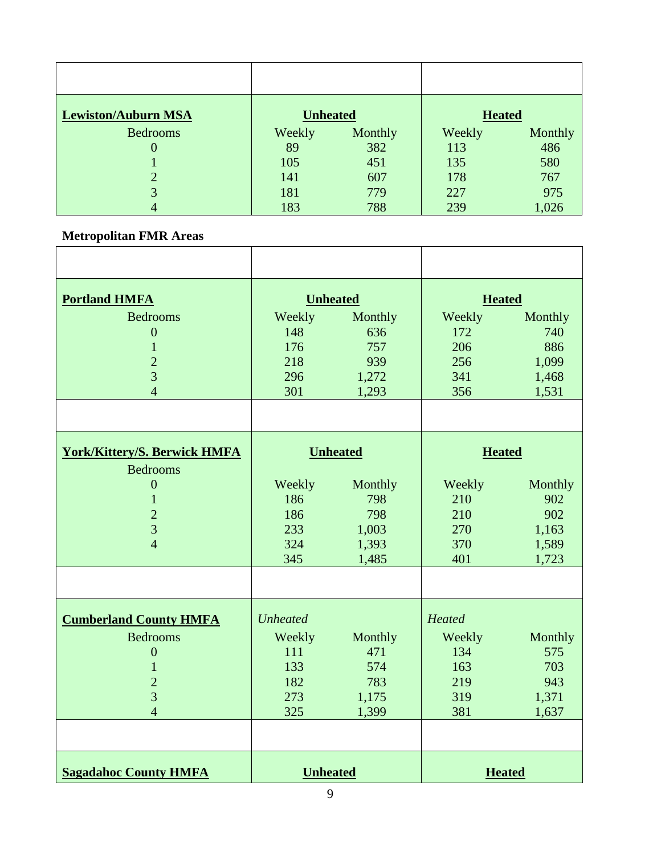| <b>Lewiston/Auburn MSA</b> | <b>Unheated</b> |         | <b>Heated</b> |         |
|----------------------------|-----------------|---------|---------------|---------|
| <b>Bedrooms</b>            | Weekly          | Monthly | Weekly        | Monthly |
| $\theta$                   | 89              | 382     | 113           | 486     |
|                            | 105             | 451     | 135           | 580     |
|                            | 141             | 607     | 178           | 767     |
| 3                          | 181             | 779     | 227           | 975     |
| 4                          | 183             | 788     | 239           | 1,026   |

## **Metropolitan FMR Areas**

| <b>Portland HMFA</b>                                                                                                          |                                                              | <b>Unheated</b>                                  |                                                     | <b>Heated</b>                                    |  |
|-------------------------------------------------------------------------------------------------------------------------------|--------------------------------------------------------------|--------------------------------------------------|-----------------------------------------------------|--------------------------------------------------|--|
| <b>Bedrooms</b><br>$\boldsymbol{0}$<br>$\mathbf{1}$<br>$\overline{2}$<br>3<br>$\overline{4}$                                  | Weekly<br>148<br>176<br>218<br>296<br>301                    | Monthly<br>636<br>757<br>939<br>1,272<br>1,293   | Weekly<br>172<br>206<br>256<br>341<br>356           | Monthly<br>740<br>886<br>1,099<br>1,468<br>1,531 |  |
|                                                                                                                               |                                                              |                                                  |                                                     |                                                  |  |
| <b>York/Kittery/S. Berwick HMFA</b><br><b>Bedrooms</b>                                                                        |                                                              | <b>Unheated</b>                                  | <b>Heated</b>                                       |                                                  |  |
| $\theta$<br>$\mathbf{1}$<br>$\overline{2}$<br>$\overline{3}$<br>$\overline{4}$                                                | Weekly<br>186<br>186<br>233<br>324<br>345                    | Monthly<br>798<br>798<br>1,003<br>1,393<br>1,485 | Weekly<br>210<br>210<br>270<br>370<br>401           | Monthly<br>902<br>902<br>1,163<br>1,589<br>1,723 |  |
|                                                                                                                               |                                                              |                                                  |                                                     |                                                  |  |
| <b>Cumberland County HMFA</b><br><b>Bedrooms</b><br>$\boldsymbol{0}$<br>$\mathbf{1}$<br>$\overline{2}$<br>3<br>$\overline{4}$ | <b>Unheated</b><br>Weekly<br>111<br>133<br>182<br>273<br>325 | Monthly<br>471<br>574<br>783<br>1,175<br>1,399   | Heated<br>Weekly<br>134<br>163<br>219<br>319<br>381 | Monthly<br>575<br>703<br>943<br>1,371<br>1,637   |  |
| <b>Sagadahoc County HMFA</b>                                                                                                  | <b>Unheated</b>                                              |                                                  |                                                     | <b>Heated</b>                                    |  |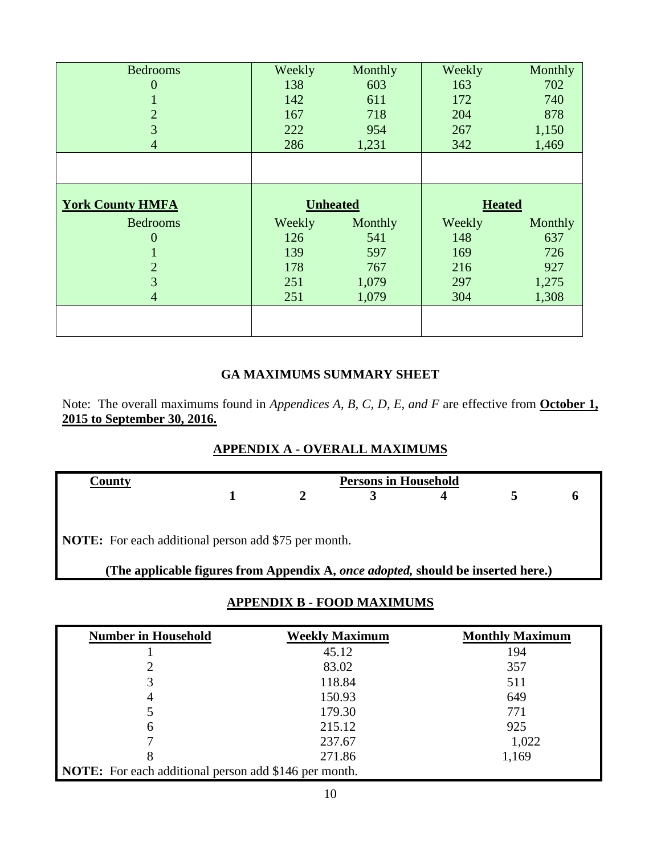| <b>Bedrooms</b>         | Weekly | Monthly         | Weekly        | Monthly |
|-------------------------|--------|-----------------|---------------|---------|
| $\theta$                | 138    | 603             | 163           | 702     |
|                         | 142    | 611             | 172           | 740     |
| $\overline{2}$          | 167    | 718             | 204           | 878     |
| 3                       | 222    | 954             | 267           | 1,150   |
| 4                       | 286    | 1,231           | 342           | 1,469   |
|                         |        |                 |               |         |
|                         |        |                 |               |         |
| <b>York County HMFA</b> |        | <b>Unheated</b> | <b>Heated</b> |         |
| <b>Bedrooms</b>         | Weekly | Monthly         | Weekly        | Monthly |
| 0                       | 126    | 541             | 148           | 637     |
|                         | 139    | 597             | 169           | 726     |
| $\overline{2}$          | 178    | 767             | 216           | 927     |
| 3                       | 251    | 1,079           | 297           | 1,275   |
| 4                       | 251    | 1,079           | 304           | 1,308   |
|                         |        |                 |               |         |
|                         |        |                 |               |         |

### **GA MAXIMUMS SUMMARY SHEET**

Note: The overall maximums found in *Appendices A, B, C, D, E, and F* are effective from **October 1, 2015 to September 30, 2016.**

|  |  |  |  | APPENDIX A - OVERALL MAXIMUMS |
|--|--|--|--|-------------------------------|
|--|--|--|--|-------------------------------|

| County                                                                                                                                          | <b>Persons in Household</b> |  |  |  |  |
|-------------------------------------------------------------------------------------------------------------------------------------------------|-----------------------------|--|--|--|--|
|                                                                                                                                                 |                             |  |  |  |  |
| <b>NOTE:</b> For each additional person add \$75 per month.<br>(The applicable figures from Appendix A, once adopted, should be inserted here.) |                             |  |  |  |  |

## **APPENDIX B - FOOD MAXIMUMS**

| <b>Number in Household</b>                                   | <b>Weekly Maximum</b> | <b>Monthly Maximum</b> |
|--------------------------------------------------------------|-----------------------|------------------------|
|                                                              | 45.12                 | 194                    |
|                                                              | 83.02                 | 357                    |
| 3                                                            | 118.84                | 511                    |
| 4                                                            | 150.93                | 649                    |
|                                                              | 179.30                | 771                    |
| 6                                                            | 215.12                | 925                    |
| ⇁                                                            | 237.67                | 1,022                  |
| 8                                                            | 271.86                | 1,169                  |
| <b>NOTE:</b> For each additional person add \$146 per month. |                       |                        |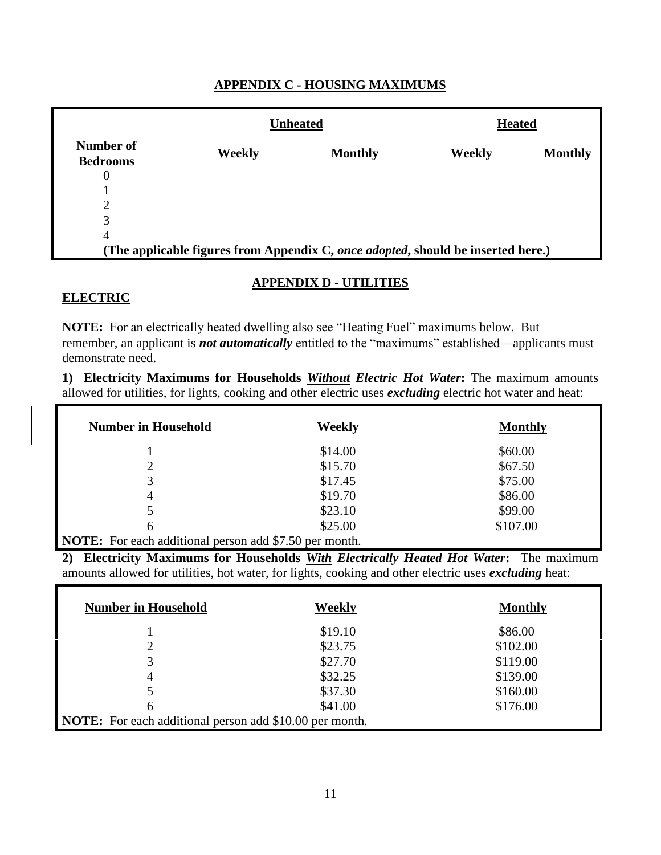### **APPENDIX C - HOUSING MAXIMUMS**

|                              |        | <b>Unheated</b>                                                                  | <b>Heated</b> |                |
|------------------------------|--------|----------------------------------------------------------------------------------|---------------|----------------|
| Number of<br><b>Bedrooms</b> | Weekly | <b>Monthly</b>                                                                   | Weekly        | <b>Monthly</b> |
| 0                            |        |                                                                                  |               |                |
|                              |        |                                                                                  |               |                |
| $\overline{2}$               |        |                                                                                  |               |                |
| 3                            |        |                                                                                  |               |                |
| 4                            |        |                                                                                  |               |                |
|                              |        | (The applicable figures from Appendix C, once adopted, should be inserted here.) |               |                |

### **APPENDIX D - UTILITIES**

#### **ELECTRIC**

**NOTE:** For an electrically heated dwelling also see "Heating Fuel" maximums below. But remember, an applicant is *not automatically* entitled to the "maximums" established—applicants must demonstrate need.

**1) Electricity Maximums for Households** *Without Electric Hot Water***:** The maximum amounts allowed for utilities, for lights, cooking and other electric uses *excluding* electric hot water and heat:

| <b>Number in Household</b>                                    | Weekly  | <b>Monthly</b> |
|---------------------------------------------------------------|---------|----------------|
|                                                               | \$14.00 | \$60.00        |
| 2                                                             | \$15.70 | \$67.50        |
| 3                                                             | \$17.45 | \$75.00        |
| 4                                                             | \$19.70 | \$86.00        |
| 5                                                             | \$23.10 | \$99.00        |
| 6                                                             | \$25.00 | \$107.00       |
| <b>NOTE:</b> For each additional person add \$7.50 per month. |         |                |

**2) Electricity Maximums for Households** *With Electrically Heated Hot Water***:** The maximum amounts allowed for utilities, hot water, for lights, cooking and other electric uses *excluding* heat:

| <b>Number in Household</b>                                     | Weekly  | <b>Monthly</b> |
|----------------------------------------------------------------|---------|----------------|
|                                                                | \$19.10 | \$86.00        |
| 2                                                              | \$23.75 | \$102.00       |
| 3                                                              | \$27.70 | \$119.00       |
| 4                                                              | \$32.25 | \$139.00       |
|                                                                | \$37.30 | \$160.00       |
| 6                                                              | \$41.00 | \$176.00       |
| <b>NOTE:</b> For each additional person add \$10.00 per month. |         |                |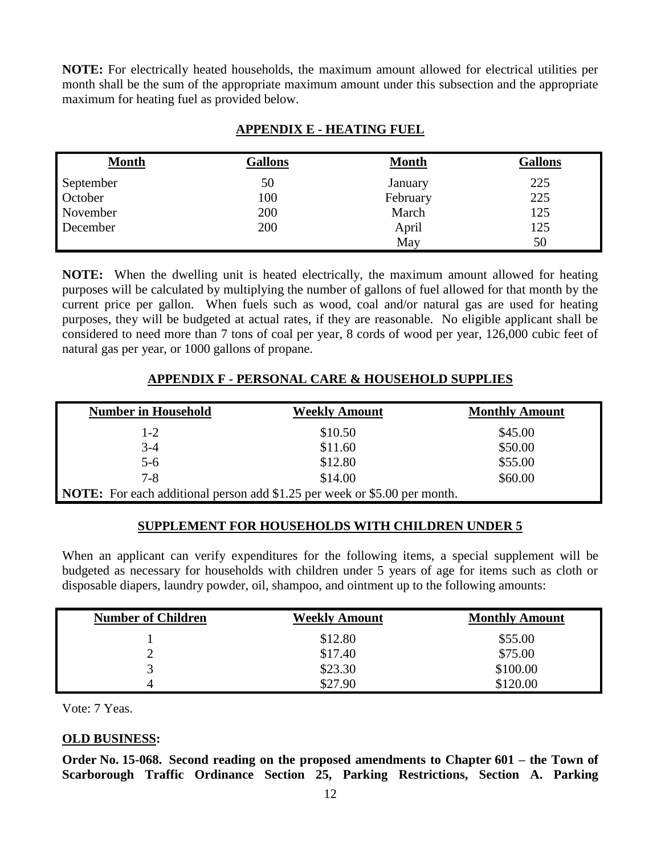**NOTE:** For electrically heated households, the maximum amount allowed for electrical utilities per month shall be the sum of the appropriate maximum amount under this subsection and the appropriate maximum for heating fuel as provided below.

| <b>Month</b> | <b>Gallons</b> | <b>Month</b> | <b>Gallons</b> |
|--------------|----------------|--------------|----------------|
| September    | 50             | January      | 225            |
| October      | 100            | February     | 225            |
| November     | 200            | March        | 125            |
| December     | 200            | April        | 125            |
|              |                | May          | 50             |

### **APPENDIX E - HEATING FUEL**

**NOTE:** When the dwelling unit is heated electrically, the maximum amount allowed for heating purposes will be calculated by multiplying the number of gallons of fuel allowed for that month by the current price per gallon. When fuels such as wood, coal and/or natural gas are used for heating purposes, they will be budgeted at actual rates, if they are reasonable. No eligible applicant shall be considered to need more than 7 tons of coal per year, 8 cords of wood per year, 126,000 cubic feet of natural gas per year, or 1000 gallons of propane.

### **APPENDIX F - PERSONAL CARE & HOUSEHOLD SUPPLIES**

| <b>Number in Household</b>                                                       | <b>Weekly Amount</b> | <b>Monthly Amount</b> |
|----------------------------------------------------------------------------------|----------------------|-----------------------|
| $1 - 2$                                                                          | \$10.50              | \$45.00               |
| $3-4$                                                                            | \$11.60              | \$50.00               |
| $5 - 6$                                                                          | \$12.80              | \$55.00               |
| $7 - 8$                                                                          | \$14.00              | \$60.00               |
| <b>NOTE:</b> For each additional person add \$1.25 per week or \$5.00 per month. |                      |                       |

#### **SUPPLEMENT FOR HOUSEHOLDS WITH CHILDREN UNDER 5**

When an applicant can verify expenditures for the following items, a special supplement will be budgeted as necessary for households with children under 5 years of age for items such as cloth or disposable diapers, laundry powder, oil, shampoo, and ointment up to the following amounts:

| <b>Number of Children</b> | <b>Weekly Amount</b> | <b>Monthly Amount</b> |
|---------------------------|----------------------|-----------------------|
|                           | \$12.80              | \$55.00               |
|                           | \$17.40              | \$75.00               |
|                           | \$23.30              | \$100.00              |
|                           | \$27.90              | \$120.00              |

Vote: 7 Yeas.

### **OLD BUSINESS:**

**Order No. 15-068. Second reading on the proposed amendments to Chapter 601 – the Town of Scarborough Traffic Ordinance Section 25, Parking Restrictions, Section A. Parking**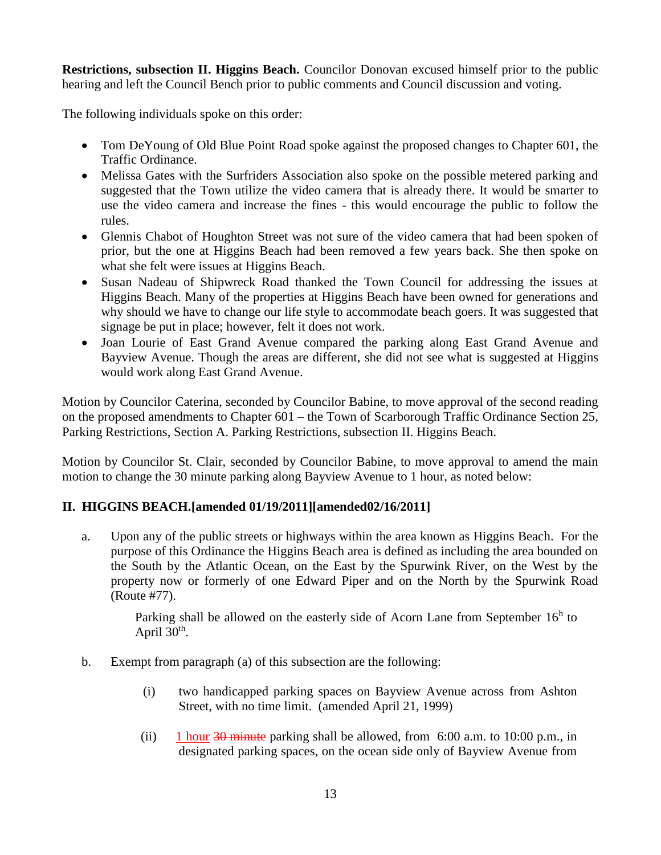**Restrictions, subsection II. Higgins Beach.** Councilor Donovan excused himself prior to the public hearing and left the Council Bench prior to public comments and Council discussion and voting.

The following individuals spoke on this order:

- Tom DeYoung of Old Blue Point Road spoke against the proposed changes to Chapter 601, the Traffic Ordinance.
- Melissa Gates with the Surfriders Association also spoke on the possible metered parking and suggested that the Town utilize the video camera that is already there. It would be smarter to use the video camera and increase the fines - this would encourage the public to follow the rules.
- Glennis Chabot of Houghton Street was not sure of the video camera that had been spoken of prior, but the one at Higgins Beach had been removed a few years back. She then spoke on what she felt were issues at Higgins Beach.
- Susan Nadeau of Shipwreck Road thanked the Town Council for addressing the issues at Higgins Beach. Many of the properties at Higgins Beach have been owned for generations and why should we have to change our life style to accommodate beach goers. It was suggested that signage be put in place; however, felt it does not work.
- Joan Lourie of East Grand Avenue compared the parking along East Grand Avenue and Bayview Avenue. Though the areas are different, she did not see what is suggested at Higgins would work along East Grand Avenue.

Motion by Councilor Caterina, seconded by Councilor Babine, to move approval of the second reading on the proposed amendments to Chapter 601 – the Town of Scarborough Traffic Ordinance Section 25, Parking Restrictions, Section A. Parking Restrictions, subsection II. Higgins Beach.

Motion by Councilor St. Clair, seconded by Councilor Babine, to move approval to amend the main motion to change the 30 minute parking along Bayview Avenue to 1 hour, as noted below:

## **II. HIGGINS BEACH.[amended 01/19/2011][amended02/16/2011]**

a. Upon any of the public streets or highways within the area known as Higgins Beach. For the purpose of this Ordinance the Higgins Beach area is defined as including the area bounded on the South by the Atlantic Ocean, on the East by the Spurwink River, on the West by the property now or formerly of one Edward Piper and on the North by the Spurwink Road (Route #77).

> Parking shall be allowed on the easterly side of Acorn Lane from September  $16<sup>h</sup>$  to April  $30<sup>th</sup>$ .

- b. Exempt from paragraph (a) of this subsection are the following:
	- (i) two handicapped parking spaces on Bayview Avenue across from Ashton Street, with no time limit. (amended April 21, 1999)
	- (ii) 1 hour  $30$  minute parking shall be allowed, from 6:00 a.m. to 10:00 p.m., in designated parking spaces, on the ocean side only of Bayview Avenue from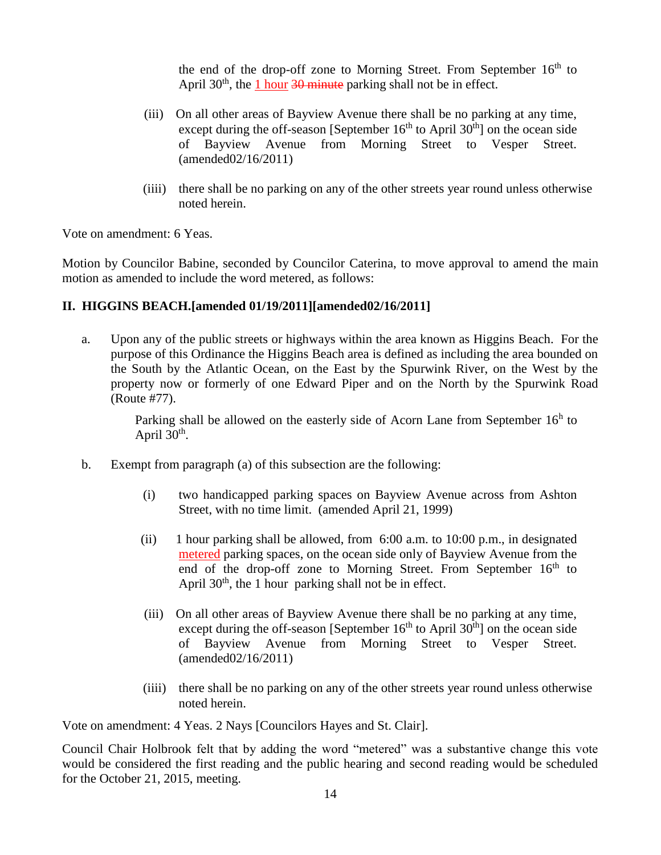the end of the drop-off zone to Morning Street. From September  $16<sup>th</sup>$  to April  $30<sup>th</sup>$ , the 1 hour  $30<sup>th</sup>$  minute parking shall not be in effect.

- (iii) On all other areas of Bayview Avenue there shall be no parking at any time, except during the off-season [September  $16<sup>th</sup>$  to April  $30<sup>th</sup>$ ] on the ocean side of Bayview Avenue from Morning Street to Vesper Street. (amended02/16/2011)
- (iiii) there shall be no parking on any of the other streets year round unless otherwise noted herein.

Vote on amendment: 6 Yeas.

Motion by Councilor Babine, seconded by Councilor Caterina, to move approval to amend the main motion as amended to include the word metered, as follows:

### **II. HIGGINS BEACH.[amended 01/19/2011][amended02/16/2011]**

a. Upon any of the public streets or highways within the area known as Higgins Beach. For the purpose of this Ordinance the Higgins Beach area is defined as including the area bounded on the South by the Atlantic Ocean, on the East by the Spurwink River, on the West by the property now or formerly of one Edward Piper and on the North by the Spurwink Road (Route #77).

> Parking shall be allowed on the easterly side of Acorn Lane from September  $16<sup>h</sup>$  to April  $30<sup>th</sup>$ .

- b. Exempt from paragraph (a) of this subsection are the following:
	- (i) two handicapped parking spaces on Bayview Avenue across from Ashton Street, with no time limit. (amended April 21, 1999)
	- (ii) 1 hour parking shall be allowed, from 6:00 a.m. to 10:00 p.m., in designated metered parking spaces, on the ocean side only of Bayview Avenue from the end of the drop-off zone to Morning Street. From September  $16<sup>th</sup>$  to April  $30<sup>th</sup>$ , the 1 hour parking shall not be in effect.
	- (iii) On all other areas of Bayview Avenue there shall be no parking at any time, except during the off-season [September  $16<sup>th</sup>$  to April  $30<sup>th</sup>$ ] on the ocean side of Bayview Avenue from Morning Street to Vesper Street. (amended02/16/2011)
	- (iiii) there shall be no parking on any of the other streets year round unless otherwise noted herein.

Vote on amendment: 4 Yeas. 2 Nays [Councilors Hayes and St. Clair].

Council Chair Holbrook felt that by adding the word "metered" was a substantive change this vote would be considered the first reading and the public hearing and second reading would be scheduled for the October 21, 2015, meeting.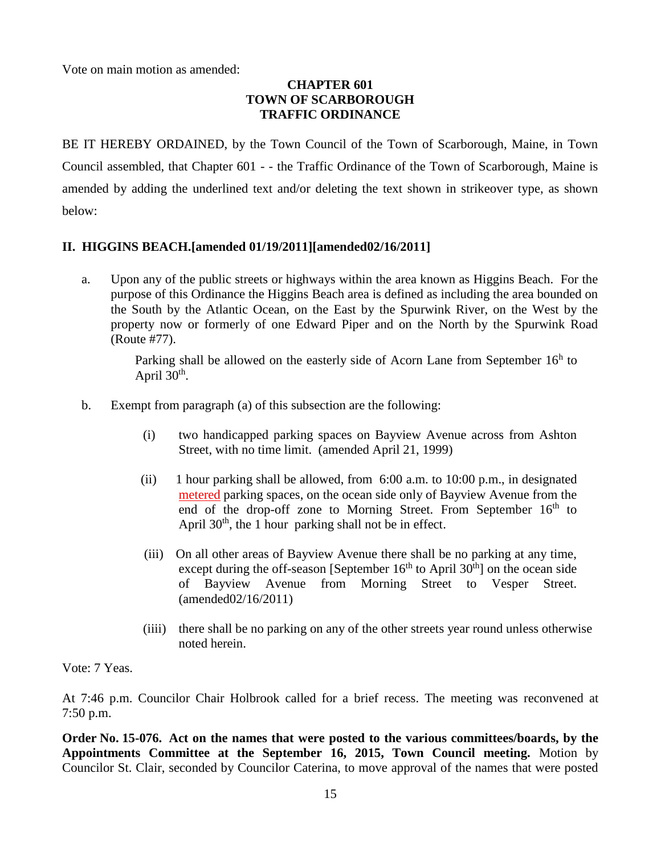Vote on main motion as amended:

### **CHAPTER 601 TOWN OF SCARBOROUGH TRAFFIC ORDINANCE**

BE IT HEREBY ORDAINED, by the Town Council of the Town of Scarborough, Maine, in Town Council assembled, that Chapter 601 - - the Traffic Ordinance of the Town of Scarborough, Maine is amended by adding the underlined text and/or deleting the text shown in strikeover type, as shown below:

### **II. HIGGINS BEACH.[amended 01/19/2011][amended02/16/2011]**

a. Upon any of the public streets or highways within the area known as Higgins Beach. For the purpose of this Ordinance the Higgins Beach area is defined as including the area bounded on the South by the Atlantic Ocean, on the East by the Spurwink River, on the West by the property now or formerly of one Edward Piper and on the North by the Spurwink Road (Route #77).

> Parking shall be allowed on the easterly side of Acorn Lane from September  $16<sup>h</sup>$  to April  $30<sup>th</sup>$ .

- b. Exempt from paragraph (a) of this subsection are the following:
	- (i) two handicapped parking spaces on Bayview Avenue across from Ashton Street, with no time limit. (amended April 21, 1999)
	- (ii) 1 hour parking shall be allowed, from 6:00 a.m. to 10:00 p.m., in designated metered parking spaces, on the ocean side only of Bayview Avenue from the end of the drop-off zone to Morning Street. From September 16<sup>th</sup> to April  $30<sup>th</sup>$ , the 1 hour parking shall not be in effect.
	- (iii) On all other areas of Bayview Avenue there shall be no parking at any time, except during the off-season [September  $16<sup>th</sup>$  to April  $30<sup>th</sup>$ ] on the ocean side of Bayview Avenue from Morning Street to Vesper Street. (amended02/16/2011)
	- (iiii) there shall be no parking on any of the other streets year round unless otherwise noted herein.

Vote: 7 Yeas.

At 7:46 p.m. Councilor Chair Holbrook called for a brief recess. The meeting was reconvened at 7:50 p.m.

**Order No. 15-076. Act on the names that were posted to the various committees/boards, by the Appointments Committee at the September 16, 2015, Town Council meeting.** Motion by Councilor St. Clair, seconded by Councilor Caterina, to move approval of the names that were posted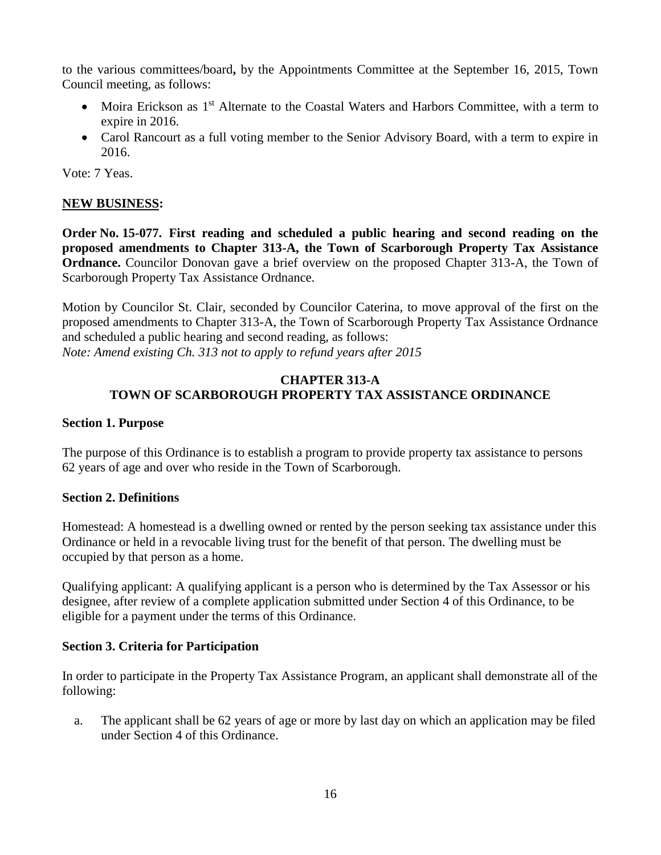to the various committees/board**,** by the Appointments Committee at the September 16, 2015, Town Council meeting, as follows:

- Moira Erickson as 1<sup>st</sup> Alternate to the Coastal Waters and Harbors Committee, with a term to expire in 2016.
- Carol Rancourt as a full voting member to the Senior Advisory Board, with a term to expire in 2016.

Vote: 7 Yeas.

### **NEW BUSINESS:**

**Order No. 15-077. First reading and scheduled a public hearing and second reading on the proposed amendments to Chapter 313-A, the Town of Scarborough Property Tax Assistance Ordnance.** Councilor Donovan gave a brief overview on the proposed Chapter 313-A, the Town of Scarborough Property Tax Assistance Ordnance.

Motion by Councilor St. Clair, seconded by Councilor Caterina, to move approval of the first on the proposed amendments to Chapter 313-A, the Town of Scarborough Property Tax Assistance Ordnance and scheduled a public hearing and second reading, as follows: *Note: Amend existing Ch. 313 not to apply to refund years after 2015*

#### **CHAPTER 313-A TOWN OF SCARBOROUGH PROPERTY TAX ASSISTANCE ORDINANCE**

#### **Section 1. Purpose**

The purpose of this Ordinance is to establish a program to provide property tax assistance to persons 62 years of age and over who reside in the Town of Scarborough.

#### **Section 2. Definitions**

Homestead: A homestead is a dwelling owned or rented by the person seeking tax assistance under this Ordinance or held in a revocable living trust for the benefit of that person. The dwelling must be occupied by that person as a home.

Qualifying applicant: A qualifying applicant is a person who is determined by the Tax Assessor or his designee, after review of a complete application submitted under Section 4 of this Ordinance, to be eligible for a payment under the terms of this Ordinance.

#### **Section 3. Criteria for Participation**

In order to participate in the Property Tax Assistance Program, an applicant shall demonstrate all of the following:

a. The applicant shall be 62 years of age or more by last day on which an application may be filed under Section 4 of this Ordinance.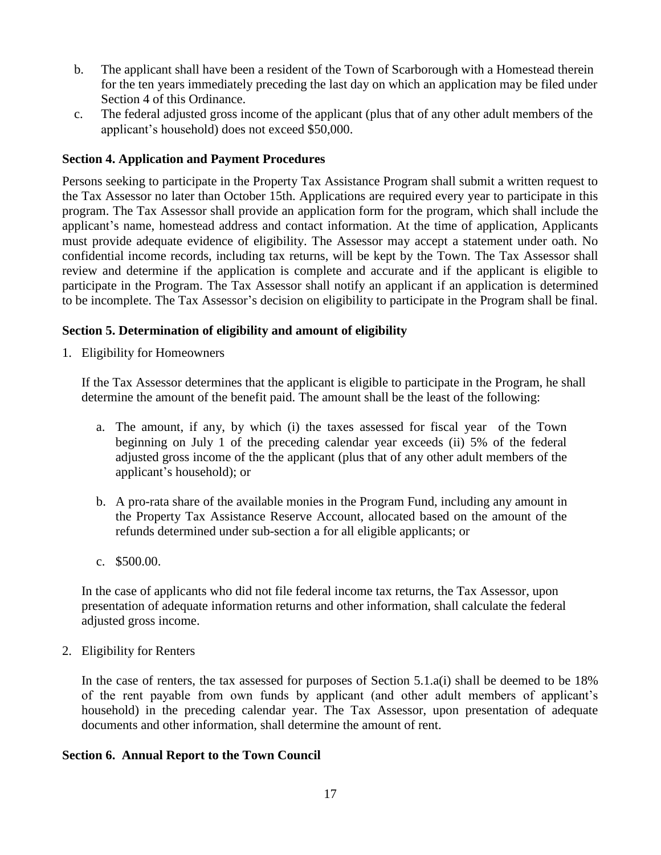- b. The applicant shall have been a resident of the Town of Scarborough with a Homestead therein for the ten years immediately preceding the last day on which an application may be filed under Section 4 of this Ordinance.
- c. The federal adjusted gross income of the applicant (plus that of any other adult members of the applicant's household) does not exceed \$50,000.

### **Section 4. Application and Payment Procedures**

Persons seeking to participate in the Property Tax Assistance Program shall submit a written request to the Tax Assessor no later than October 15th. Applications are required every year to participate in this program. The Tax Assessor shall provide an application form for the program, which shall include the applicant's name, homestead address and contact information. At the time of application, Applicants must provide adequate evidence of eligibility. The Assessor may accept a statement under oath. No confidential income records, including tax returns, will be kept by the Town. The Tax Assessor shall review and determine if the application is complete and accurate and if the applicant is eligible to participate in the Program. The Tax Assessor shall notify an applicant if an application is determined to be incomplete. The Tax Assessor's decision on eligibility to participate in the Program shall be final.

### **Section 5. Determination of eligibility and amount of eligibility**

1. Eligibility for Homeowners

If the Tax Assessor determines that the applicant is eligible to participate in the Program, he shall determine the amount of the benefit paid. The amount shall be the least of the following:

- a. The amount, if any, by which (i) the taxes assessed for fiscal year of the Town beginning on July 1 of the preceding calendar year exceeds (ii) 5% of the federal adjusted gross income of the the applicant (plus that of any other adult members of the applicant's household); or
- b. A pro-rata share of the available monies in the Program Fund, including any amount in the Property Tax Assistance Reserve Account, allocated based on the amount of the refunds determined under sub-section a for all eligible applicants; or
- c. \$500.00.

In the case of applicants who did not file federal income tax returns, the Tax Assessor, upon presentation of adequate information returns and other information, shall calculate the federal adjusted gross income.

2. Eligibility for Renters

In the case of renters, the tax assessed for purposes of Section 5.1.a(i) shall be deemed to be 18% of the rent payable from own funds by applicant (and other adult members of applicant's household) in the preceding calendar year. The Tax Assessor, upon presentation of adequate documents and other information, shall determine the amount of rent.

#### **Section 6. Annual Report to the Town Council**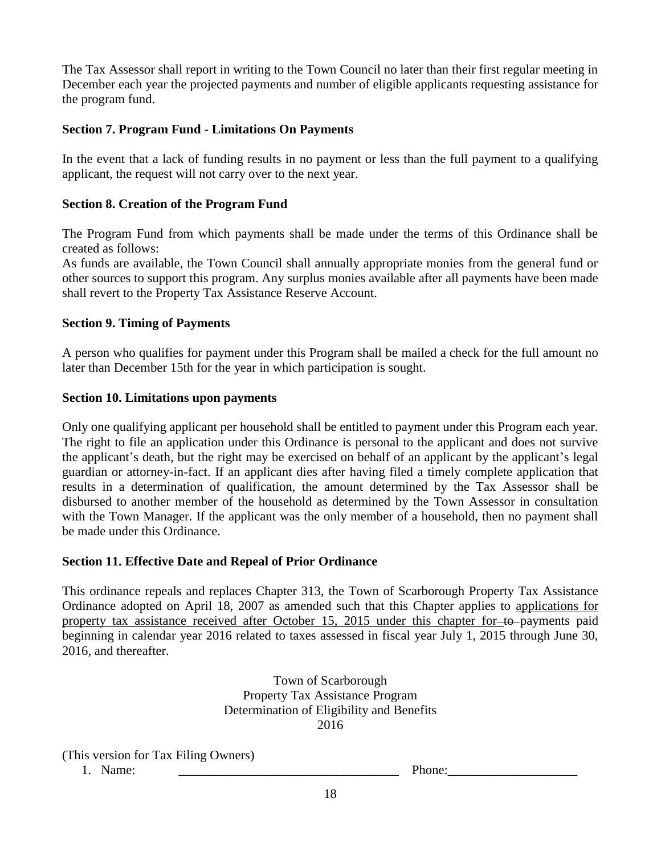The Tax Assessor shall report in writing to the Town Council no later than their first regular meeting in December each year the projected payments and number of eligible applicants requesting assistance for the program fund.

### **Section 7. Program Fund - Limitations On Payments**

In the event that a lack of funding results in no payment or less than the full payment to a qualifying applicant, the request will not carry over to the next year.

### **Section 8. Creation of the Program Fund**

The Program Fund from which payments shall be made under the terms of this Ordinance shall be created as follows:

As funds are available, the Town Council shall annually appropriate monies from the general fund or other sources to support this program. Any surplus monies available after all payments have been made shall revert to the Property Tax Assistance Reserve Account.

### **Section 9. Timing of Payments**

A person who qualifies for payment under this Program shall be mailed a check for the full amount no later than December 15th for the year in which participation is sought.

### **Section 10. Limitations upon payments**

Only one qualifying applicant per household shall be entitled to payment under this Program each year. The right to file an application under this Ordinance is personal to the applicant and does not survive the applicant's death, but the right may be exercised on behalf of an applicant by the applicant's legal guardian or attorney-in-fact. If an applicant dies after having filed a timely complete application that results in a determination of qualification, the amount determined by the Tax Assessor shall be disbursed to another member of the household as determined by the Town Assessor in consultation with the Town Manager. If the applicant was the only member of a household, then no payment shall be made under this Ordinance.

### **Section 11. Effective Date and Repeal of Prior Ordinance**

This ordinance repeals and replaces Chapter 313, the Town of Scarborough Property Tax Assistance Ordinance adopted on April 18, 2007 as amended such that this Chapter applies to applications for property tax assistance received after October 15, 2015 under this chapter for to payments paid beginning in calendar year 2016 related to taxes assessed in fiscal year July 1, 2015 through June 30, 2016, and thereafter.

> Town of Scarborough Property Tax Assistance Program Determination of Eligibility and Benefits 2016

(This version for Tax Filing Owners)

1. Name: \_\_\_\_\_\_\_\_\_\_\_\_\_\_\_\_\_\_\_\_\_\_\_\_\_\_\_\_\_\_\_\_\_\_ Phone:\_\_\_\_\_\_\_\_\_\_\_\_\_\_\_\_\_\_\_\_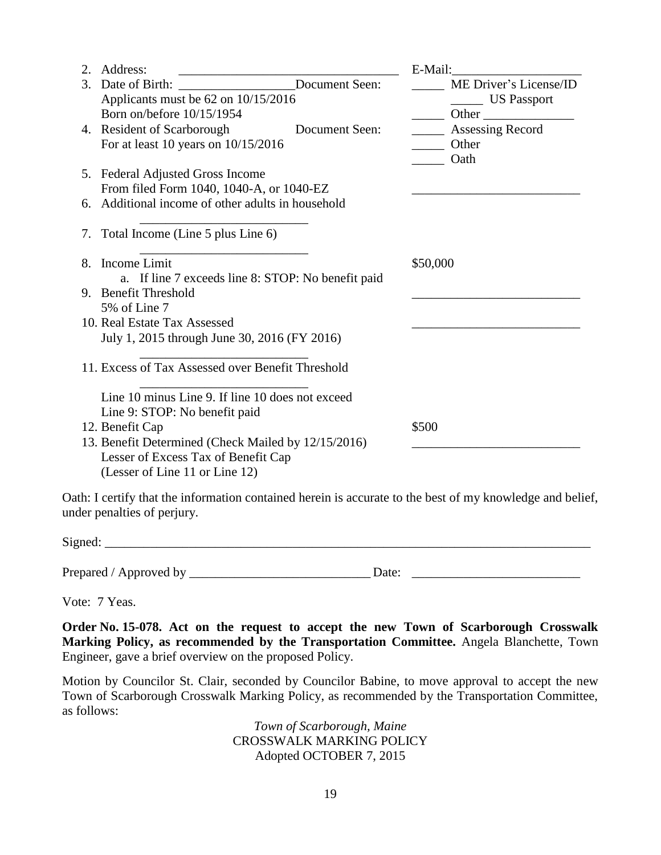| 2. | Address:                                                                                                                                                                                                                                                                                                                                                                                                                                                   | E-Mail:                |  |  |  |
|----|------------------------------------------------------------------------------------------------------------------------------------------------------------------------------------------------------------------------------------------------------------------------------------------------------------------------------------------------------------------------------------------------------------------------------------------------------------|------------------------|--|--|--|
| 3. | Document Seen:<br>Date of Birth:                                                                                                                                                                                                                                                                                                                                                                                                                           | ME Driver's License/ID |  |  |  |
|    | Applicants must be 62 on 10/15/2016                                                                                                                                                                                                                                                                                                                                                                                                                        | ________ US Passport   |  |  |  |
|    | Born on/before 10/15/1954                                                                                                                                                                                                                                                                                                                                                                                                                                  |                        |  |  |  |
|    | 4. Resident of Scarborough<br>Document Seen:                                                                                                                                                                                                                                                                                                                                                                                                               | Assessing Record       |  |  |  |
|    | For at least 10 years on $10/15/2016$                                                                                                                                                                                                                                                                                                                                                                                                                      | Other                  |  |  |  |
|    |                                                                                                                                                                                                                                                                                                                                                                                                                                                            | Oath                   |  |  |  |
|    | 5. Federal Adjusted Gross Income                                                                                                                                                                                                                                                                                                                                                                                                                           |                        |  |  |  |
|    |                                                                                                                                                                                                                                                                                                                                                                                                                                                            |                        |  |  |  |
|    |                                                                                                                                                                                                                                                                                                                                                                                                                                                            |                        |  |  |  |
|    | 7. Total Income (Line 5 plus Line 6)                                                                                                                                                                                                                                                                                                                                                                                                                       |                        |  |  |  |
|    |                                                                                                                                                                                                                                                                                                                                                                                                                                                            |                        |  |  |  |
| 8. |                                                                                                                                                                                                                                                                                                                                                                                                                                                            | \$50,000               |  |  |  |
|    |                                                                                                                                                                                                                                                                                                                                                                                                                                                            |                        |  |  |  |
|    |                                                                                                                                                                                                                                                                                                                                                                                                                                                            |                        |  |  |  |
|    |                                                                                                                                                                                                                                                                                                                                                                                                                                                            |                        |  |  |  |
|    |                                                                                                                                                                                                                                                                                                                                                                                                                                                            |                        |  |  |  |
|    |                                                                                                                                                                                                                                                                                                                                                                                                                                                            |                        |  |  |  |
|    | 11. Excess of Tax Assessed over Benefit Threshold                                                                                                                                                                                                                                                                                                                                                                                                          |                        |  |  |  |
|    |                                                                                                                                                                                                                                                                                                                                                                                                                                                            |                        |  |  |  |
|    |                                                                                                                                                                                                                                                                                                                                                                                                                                                            |                        |  |  |  |
|    |                                                                                                                                                                                                                                                                                                                                                                                                                                                            | \$500                  |  |  |  |
|    |                                                                                                                                                                                                                                                                                                                                                                                                                                                            |                        |  |  |  |
|    | Lesser of Excess Tax of Benefit Cap                                                                                                                                                                                                                                                                                                                                                                                                                        |                        |  |  |  |
|    | (Lesser of Line 11 or Line 12)                                                                                                                                                                                                                                                                                                                                                                                                                             |                        |  |  |  |
|    | From filed Form 1040, 1040-A, or 1040-EZ<br>6. Additional income of other adults in household<br>Income Limit<br>a. If line 7 exceeds line 8: STOP: No benefit paid<br>9. Benefit Threshold<br>5% of Line 7<br>10. Real Estate Tax Assessed<br>July 1, 2015 through June 30, 2016 (FY 2016)<br>Line 10 minus Line 9. If line 10 does not exceed<br>Line 9: STOP: No benefit paid<br>12. Benefit Cap<br>13. Benefit Determined (Check Mailed by 12/15/2016) |                        |  |  |  |

Oath: I certify that the information contained herein is accurate to the best of my knowledge and belief, under penalties of perjury.

 $Signed:$ 

Prepared / Approved by \_\_\_\_\_\_\_\_\_\_\_\_\_\_\_\_\_\_\_\_\_\_\_\_\_\_\_\_ Date: \_\_\_\_\_\_\_\_\_\_\_\_\_\_\_\_\_\_\_\_\_\_\_\_\_\_

Vote: 7 Yeas.

**Order No. 15-078. Act on the request to accept the new Town of Scarborough Crosswalk Marking Policy, as recommended by the Transportation Committee.** Angela Blanchette, Town Engineer, gave a brief overview on the proposed Policy.

Motion by Councilor St. Clair, seconded by Councilor Babine, to move approval to accept the new Town of Scarborough Crosswalk Marking Policy, as recommended by the Transportation Committee, as follows:

> *Town of Scarborough, Maine* CROSSWALK MARKING POLICY Adopted OCTOBER 7, 2015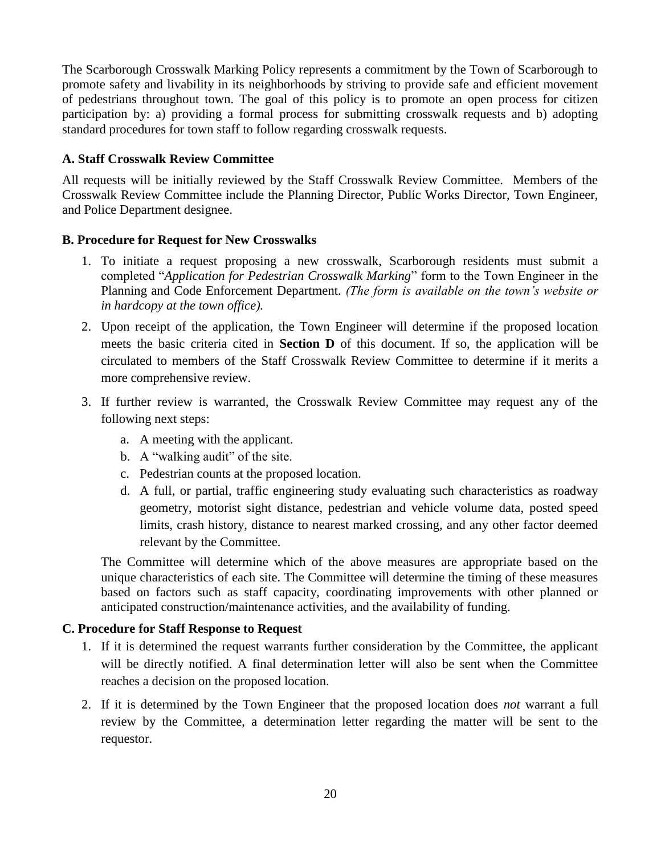The Scarborough Crosswalk Marking Policy represents a commitment by the Town of Scarborough to promote safety and livability in its neighborhoods by striving to provide safe and efficient movement of pedestrians throughout town. The goal of this policy is to promote an open process for citizen participation by: a) providing a formal process for submitting crosswalk requests and b) adopting standard procedures for town staff to follow regarding crosswalk requests.

### **A. Staff Crosswalk Review Committee**

All requests will be initially reviewed by the Staff Crosswalk Review Committee. Members of the Crosswalk Review Committee include the Planning Director, Public Works Director, Town Engineer, and Police Department designee.

### **B. Procedure for Request for New Crosswalks**

- 1. To initiate a request proposing a new crosswalk, Scarborough residents must submit a completed "*Application for Pedestrian Crosswalk Marking*" form to the Town Engineer in the Planning and Code Enforcement Department. *(The form is available on the town's website or in hardcopy at the town office).*
- 2. Upon receipt of the application, the Town Engineer will determine if the proposed location meets the basic criteria cited in **Section D** of this document. If so, the application will be circulated to members of the Staff Crosswalk Review Committee to determine if it merits a more comprehensive review.
- 3. If further review is warranted, the Crosswalk Review Committee may request any of the following next steps:
	- a. A meeting with the applicant.
	- b. A "walking audit" of the site.
	- c. Pedestrian counts at the proposed location.
	- d. A full, or partial, traffic engineering study evaluating such characteristics as roadway geometry, motorist sight distance, pedestrian and vehicle volume data, posted speed limits, crash history, distance to nearest marked crossing, and any other factor deemed relevant by the Committee.

The Committee will determine which of the above measures are appropriate based on the unique characteristics of each site. The Committee will determine the timing of these measures based on factors such as staff capacity, coordinating improvements with other planned or anticipated construction/maintenance activities, and the availability of funding.

### **C. Procedure for Staff Response to Request**

- 1. If it is determined the request warrants further consideration by the Committee, the applicant will be directly notified. A final determination letter will also be sent when the Committee reaches a decision on the proposed location.
- 2. If it is determined by the Town Engineer that the proposed location does *not* warrant a full review by the Committee, a determination letter regarding the matter will be sent to the requestor.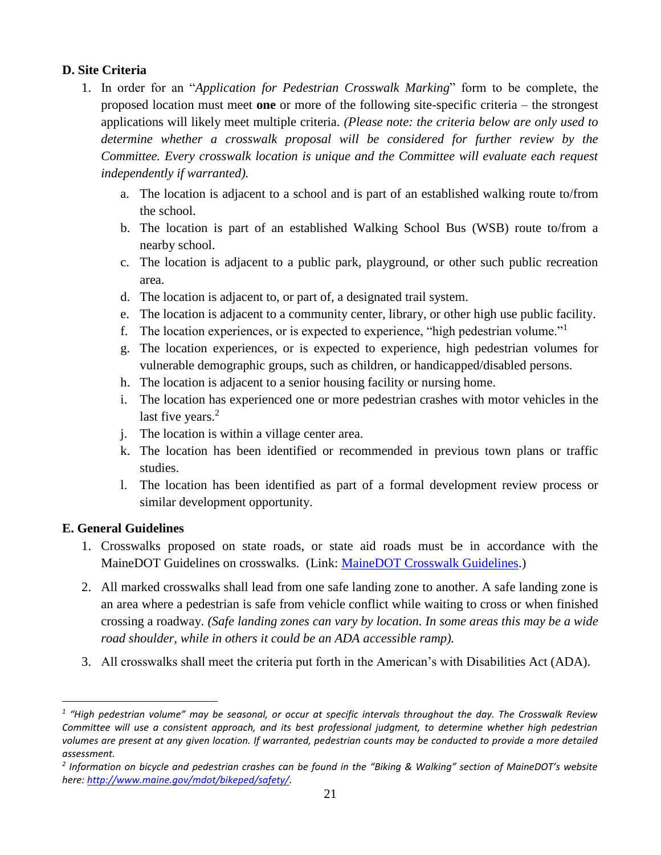### **D. Site Criteria**

- 1. In order for an "*Application for Pedestrian Crosswalk Marking*" form to be complete, the proposed location must meet **one** or more of the following site-specific criteria – the strongest applications will likely meet multiple criteria. *(Please note: the criteria below are only used to determine whether a crosswalk proposal will be considered for further review by the Committee. Every crosswalk location is unique and the Committee will evaluate each request independently if warranted).* 
	- a. The location is adjacent to a school and is part of an established walking route to/from the school.
	- b. The location is part of an established Walking School Bus (WSB) route to/from a nearby school.
	- c. The location is adjacent to a public park, playground, or other such public recreation area.
	- d. The location is adjacent to, or part of, a designated trail system.
	- e. The location is adjacent to a community center, library, or other high use public facility.
	- f. The location experiences, or is expected to experience, "high pedestrian volume."<sup>1</sup>
	- g. The location experiences, or is expected to experience, high pedestrian volumes for vulnerable demographic groups, such as children, or handicapped/disabled persons.
	- h. The location is adjacent to a senior housing facility or nursing home.
	- i. The location has experienced one or more pedestrian crashes with motor vehicles in the last five years.<sup>2</sup>
	- j. The location is within a village center area.
	- k. The location has been identified or recommended in previous town plans or traffic studies.
	- l. The location has been identified as part of a formal development review process or similar development opportunity.

### **E. General Guidelines**

 $\overline{a}$ 

- 1. Crosswalks proposed on state roads, or state aid roads must be in accordance with the MaineDOT Guidelines on crosswalks. (Link: [MaineDOT Crosswalk Guidelines.](http://www.maine.gov/mdot/csd/mlrc/technical/ti/documents/pdf/crosswalkpolicyversion4March2013.pdf))
- 2. All marked crosswalks shall lead from one safe landing zone to another. A safe landing zone is an area where a pedestrian is safe from vehicle conflict while waiting to cross or when finished crossing a roadway. *(Safe landing zones can vary by location. In some areas this may be a wide road shoulder, while in others it could be an ADA accessible ramp).*
- 3. All crosswalks shall meet the criteria put forth in the American's with Disabilities Act (ADA).

*<sup>1</sup> "High pedestrian volume" may be seasonal, or occur at specific intervals throughout the day. The Crosswalk Review Committee will use a consistent approach, and its best professional judgment, to determine whether high pedestrian volumes are present at any given location. If warranted, pedestrian counts may be conducted to provide a more detailed assessment.* 

*<sup>2</sup> Information on bicycle and pedestrian crashes can be found in the "Biking & Walking" section of MaineDOT's website here[: http://www.maine.gov/mdot/bikeped/safety/.](http://www.maine.gov/mdot/bikeped/safety/)*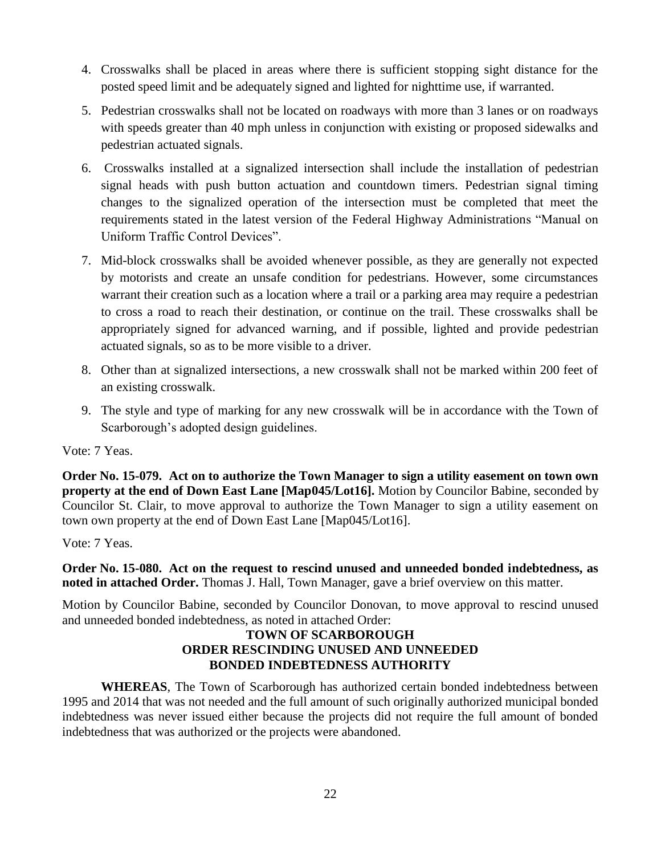- 4. Crosswalks shall be placed in areas where there is sufficient stopping sight distance for the posted speed limit and be adequately signed and lighted for nighttime use, if warranted.
- 5. Pedestrian crosswalks shall not be located on roadways with more than 3 lanes or on roadways with speeds greater than 40 mph unless in conjunction with existing or proposed sidewalks and pedestrian actuated signals.
- 6. Crosswalks installed at a signalized intersection shall include the installation of pedestrian signal heads with push button actuation and countdown timers. Pedestrian signal timing changes to the signalized operation of the intersection must be completed that meet the requirements stated in the latest version of the Federal Highway Administrations "Manual on Uniform Traffic Control Devices".
- 7. Mid-block crosswalks shall be avoided whenever possible, as they are generally not expected by motorists and create an unsafe condition for pedestrians. However, some circumstances warrant their creation such as a location where a trail or a parking area may require a pedestrian to cross a road to reach their destination, or continue on the trail. These crosswalks shall be appropriately signed for advanced warning, and if possible, lighted and provide pedestrian actuated signals, so as to be more visible to a driver.
- 8. Other than at signalized intersections, a new crosswalk shall not be marked within 200 feet of an existing crosswalk.
- 9. The style and type of marking for any new crosswalk will be in accordance with the Town of Scarborough's adopted design guidelines.

Vote: 7 Yeas.

**Order No. 15-079. Act on to authorize the Town Manager to sign a utility easement on town own property at the end of Down East Lane [Map045/Lot16].** Motion by Councilor Babine, seconded by Councilor St. Clair, to move approval to authorize the Town Manager to sign a utility easement on town own property at the end of Down East Lane [Map045/Lot16].

Vote: 7 Yeas.

**Order No. 15-080. Act on the request to rescind unused and unneeded bonded indebtedness, as noted in attached Order.** Thomas J. Hall, Town Manager, gave a brief overview on this matter.

Motion by Councilor Babine, seconded by Councilor Donovan, to move approval to rescind unused and unneeded bonded indebtedness, as noted in attached Order:

### **TOWN OF SCARBOROUGH ORDER RESCINDING UNUSED AND UNNEEDED BONDED INDEBTEDNESS AUTHORITY**

**WHEREAS**, The Town of Scarborough has authorized certain bonded indebtedness between 1995 and 2014 that was not needed and the full amount of such originally authorized municipal bonded indebtedness was never issued either because the projects did not require the full amount of bonded indebtedness that was authorized or the projects were abandoned.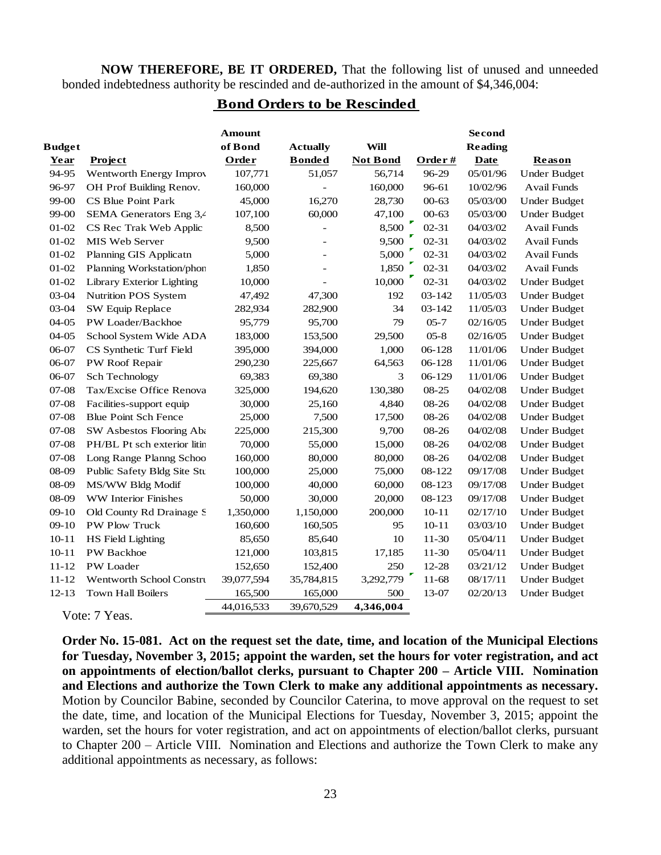**NOW THEREFORE, BE IT ORDERED,** That the following list of unused and unneeded bonded indebtedness authority be rescinded and de-authorized in the amount of \$4,346,004:

#### **Bond Orders to be Rescinded**

| <b>Budget</b> |                             | Amount<br>of Bond | <b>Actually</b>          | <b>Will</b>     |            | <b>Second</b><br><b>Reading</b> |                     |
|---------------|-----------------------------|-------------------|--------------------------|-----------------|------------|---------------------------------|---------------------|
| Year          | Project                     | Order             | <b>Bonded</b>            | <b>Not Bond</b> | Order#     | <b>Date</b>                     | Reason              |
| 94-95         | Wentworth Energy Improv     | 107,771           | 51,057                   | 56,714          | 96-29      | 05/01/96                        | <b>Under Budget</b> |
| 96-97         | OH Prof Building Renov.     | 160,000           |                          | 160,000         | 96-61      | 10/02/96                        | Avail Funds         |
| 99-00         | CS Blue Point Park          | 45,000            | 16,270                   | 28,730          | $00 - 63$  | 05/03/00                        | <b>Under Budget</b> |
| 99-00         | SEMA Generators Eng 3,4     | 107,100           | 60,000                   | 47,100          | $00 - 63$  | 05/03/00                        | <b>Under Budget</b> |
| $01-02$       | CS Rec Trak Web Applic      | 8,500             |                          | 8,500           | $02 - 31$  | 04/03/02                        | <b>Avail Funds</b>  |
| $01 - 02$     | MIS Web Server              | 9,500             |                          | 9,500           | $02 - 31$  | 04/03/02                        | Avail Funds         |
| $01 - 02$     | Planning GIS Applicatn      | 5,000             | $\overline{\phantom{0}}$ | 5,000           | $02 - 31$  | 04/03/02                        | Avail Funds         |
| $01 - 02$     | Planning Workstation/phon   | 1,850             |                          | 1,850           | $02 - 31$  | 04/03/02                        | <b>Avail Funds</b>  |
| $01 - 02$     | Library Exterior Lighting   | 10,000            |                          | 10,000          | $02 - 31$  | 04/03/02                        | <b>Under Budget</b> |
| 03-04         | Nutrition POS System        | 47,492            | 47,300                   | 192             | 03-142     | 11/05/03                        | <b>Under Budget</b> |
| 03-04         | SW Equip Replace            | 282,934           | 282,900                  | 34              | $03 - 142$ | 11/05/03                        | <b>Under Budget</b> |
| $04-05$       | PW Loader/Backhoe           | 95,779            | 95,700                   | 79              | $05 - 7$   | 02/16/05                        | <b>Under Budget</b> |
| $04 - 05$     | School System Wide ADA      | 183,000           | 153,500                  | 29,500          | $05 - 8$   | 02/16/05                        | <b>Under Budget</b> |
| 06-07         | CS Synthetic Turf Field     | 395,000           | 394,000                  | 1,000           | 06-128     | 11/01/06                        | <b>Under Budget</b> |
| 06-07         | PW Roof Repair              | 290,230           | 225,667                  | 64,563          | 06-128     | 11/01/06                        | <b>Under Budget</b> |
| 06-07         | Sch Technology              | 69,383            | 69,380                   | 3               | 06-129     | 11/01/06                        | <b>Under Budget</b> |
| $07 - 08$     | Tax/Excise Office Renova    | 325,000           | 194,620                  | 130,380         | 08-25      | 04/02/08                        | <b>Under Budget</b> |
| $07 - 08$     | Facilities-support equip    | 30,000            | 25,160                   | 4,840           | 08-26      | 04/02/08                        | <b>Under Budget</b> |
| $07 - 08$     | <b>Blue Point Sch Fence</b> | 25,000            | 7,500                    | 17,500          | 08-26      | 04/02/08                        | <b>Under Budget</b> |
| $07 - 08$     | SW Asbestos Flooring Aba    | 225,000           | 215,300                  | 9,700           | 08-26      | 04/02/08                        | <b>Under Budget</b> |
| $07 - 08$     | PH/BL Pt sch exterior litin | 70,000            | 55,000                   | 15,000          | 08-26      | 04/02/08                        | <b>Under Budget</b> |
| $07 - 08$     | Long Range Planng Schoo     | 160,000           | 80,000                   | 80,000          | 08-26      | 04/02/08                        | <b>Under Budget</b> |
| 08-09         | Public Safety Bldg Site Stu | 100,000           | 25,000                   | 75,000          | 08-122     | 09/17/08                        | <b>Under Budget</b> |
| 08-09         | MS/WW Bldg Modif            | 100,000           | 40,000                   | 60,000          | 08-123     | 09/17/08                        | <b>Under Budget</b> |
| 08-09         | <b>WW</b> Interior Finishes | 50,000            | 30,000                   | 20,000          | 08-123     | 09/17/08                        | <b>Under Budget</b> |
| $09-10$       | Old County Rd Drainage S    | 1,350,000         | 1,150,000                | 200,000         | $10 - 11$  | 02/17/10                        | <b>Under Budget</b> |
| $09 - 10$     | PW Plow Truck               | 160,600           | 160,505                  | 95              | $10 - 11$  | 03/03/10                        | <b>Under Budget</b> |
| $10 - 11$     | HS Field Lighting           | 85,650            | 85,640                   | 10              | $11-30$    | 05/04/11                        | <b>Under Budget</b> |
| $10 - 11$     | <b>PW</b> Backhoe           | 121,000           | 103,815                  | 17,185          | $11-30$    | 05/04/11                        | <b>Under Budget</b> |
| $11 - 12$     | PW Loader                   | 152,650           | 152,400                  | 250             | $12 - 28$  | 03/21/12                        | <b>Under Budget</b> |
| $11 - 12$     | Wentworth School Constru    | 39,077,594        | 35,784,815               | 3,292,779       | 11-68      | 08/17/11                        | <b>Under Budget</b> |
| $12 - 13$     | <b>Town Hall Boilers</b>    | 165,500           | 165,000                  | 500             | 13-07      | 02/20/13                        | <b>Under Budget</b> |
|               |                             | 44.016.533        | 39.670.529               | 4,346,004       |            |                                 |                     |

Vote: 7 Yeas.

**Order No. 15-081. Act on the request set the date, time, and location of the Municipal Elections for Tuesday, November 3, 2015; appoint the warden, set the hours for voter registration, and act on appointments of election/ballot clerks, pursuant to Chapter 200 – Article VIII. Nomination and Elections and authorize the Town Clerk to make any additional appointments as necessary.** Motion by Councilor Babine, seconded by Councilor Caterina, to move approval on the request to set the date, time, and location of the Municipal Elections for Tuesday, November 3, 2015; appoint the warden, set the hours for voter registration, and act on appointments of election/ballot clerks, pursuant to Chapter 200 – Article VIII. Nomination and Elections and authorize the Town Clerk to make any additional appointments as necessary, as follows: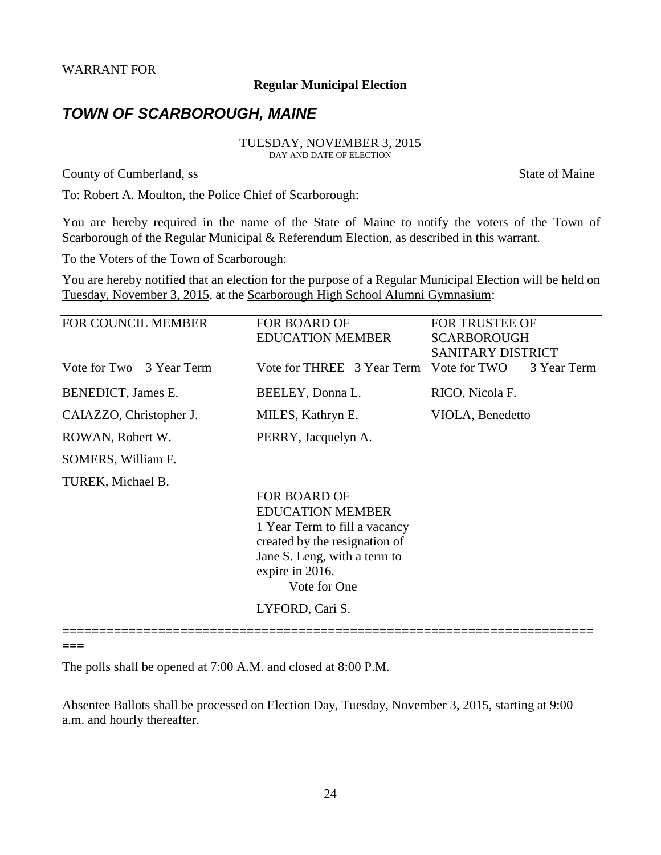#### **Regular Municipal Election**

# *TOWN OF SCARBOROUGH, MAINE*

# TUESDAY, NOVEMBER 3, 2015

DAY AND DATE OF ELECTION

County of Cumberland, ss State of Maine

To: Robert A. Moulton, the Police Chief of Scarborough:

You are hereby required in the name of the State of Maine to notify the voters of the Town of Scarborough of the Regular Municipal & Referendum Election, as described in this warrant.

To the Voters of the Town of Scarborough:

You are hereby notified that an election for the purpose of a Regular Municipal Election will be held on Tuesday, November 3, 2015, at the Scarborough High School Alumni Gymnasium: ֧֪֚֞֝֬֝֬֝֬֝֬֝֬֝

| <b>FOR COUNCIL MEMBER</b> | <b>FOR BOARD OF</b>                                           | <b>FOR TRUSTEE OF</b>    |  |  |
|---------------------------|---------------------------------------------------------------|--------------------------|--|--|
|                           | <b>EDUCATION MEMBER</b>                                       | <b>SCARBOROUGH</b>       |  |  |
|                           |                                                               | <b>SANITARY DISTRICT</b> |  |  |
| Vote for Two 3 Year Term  | Vote for THREE 3 Year Term Vote for TWO                       | 3 Year Term              |  |  |
| BENEDICT, James E.        | BEELEY, Donna L.                                              | RICO, Nicola F.          |  |  |
| CAIAZZO, Christopher J.   | MILES, Kathryn E.                                             | VIOLA, Benedetto         |  |  |
| ROWAN, Robert W.          | PERRY, Jacquelyn A.                                           |                          |  |  |
| SOMERS, William F.        |                                                               |                          |  |  |
| TUREK, Michael B.         |                                                               |                          |  |  |
|                           | <b>FOR BOARD OF</b>                                           |                          |  |  |
|                           | <b>EDUCATION MEMBER</b>                                       |                          |  |  |
|                           | 1 Year Term to fill a vacancy                                 |                          |  |  |
|                           | created by the resignation of<br>Jane S. Leng, with a term to |                          |  |  |
|                           |                                                               |                          |  |  |
|                           | expire in 2016.                                               |                          |  |  |
|                           | Vote for One                                                  |                          |  |  |
|                           | LYFORD, Cari S.                                               |                          |  |  |
|                           |                                                               |                          |  |  |

**===** 

The polls shall be opened at 7:00 A.M. and closed at 8:00 P.M.

Absentee Ballots shall be processed on Election Day, Tuesday, November 3, 2015, starting at 9:00 a.m. and hourly thereafter.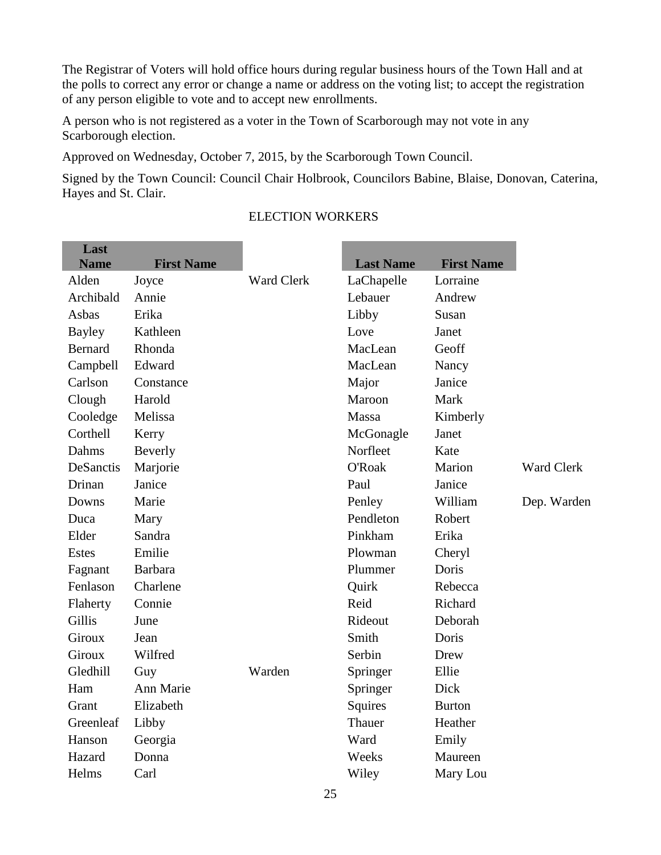The Registrar of Voters will hold office hours during regular business hours of the Town Hall and at the polls to correct any error or change a name or address on the voting list; to accept the registration of any person eligible to vote and to accept new enrollments.

A person who is not registered as a voter in the Town of Scarborough may not vote in any Scarborough election.

Approved on Wednesday, October 7, 2015, by the Scarborough Town Council.

Signed by the Town Council: Council Chair Holbrook, Councilors Babine, Blaise, Donovan, Caterina, Hayes and St. Clair.

the control of the control of the control of the control of the control of the control of the control of the control of the control of the control of the control of the control of the control of the control of the control

| Last          |                   |                   |                  |                   |             |
|---------------|-------------------|-------------------|------------------|-------------------|-------------|
| <b>Name</b>   | <b>First Name</b> |                   | <b>Last Name</b> | <b>First Name</b> |             |
| Alden         | Joyce             | <b>Ward Clerk</b> | LaChapelle       | Lorraine          |             |
| Archibald     | Annie             |                   | Lebauer          | Andrew            |             |
| Asbas         | Erika             |                   | Libby            | Susan             |             |
| <b>Bayley</b> | Kathleen          |                   | Love             | Janet             |             |
| Bernard       | Rhonda            |                   | MacLean          | Geoff             |             |
| Campbell      | Edward            |                   | MacLean          | Nancy             |             |
| Carlson       | Constance         |                   | Major            | Janice            |             |
| Clough        | Harold            |                   | Maroon           | Mark              |             |
| Cooledge      | Melissa           |                   | Massa            | Kimberly          |             |
| Corthell      | Kerry             |                   | McGonagle        | Janet             |             |
| Dahms         | Beverly           |                   | Norfleet         | Kate              |             |
| DeSanctis     | Marjorie          |                   | <b>O'Roak</b>    | Marion            | Ward Clerk  |
| Drinan        | Janice            |                   | Paul             | Janice            |             |
| Downs         | Marie             |                   | Penley           | William           | Dep. Warden |
| Duca          | Mary              |                   | Pendleton        | Robert            |             |
| Elder         | Sandra            |                   | Pinkham          | Erika             |             |
| <b>Estes</b>  | Emilie            |                   | Plowman          | Cheryl            |             |
| Fagnant       | <b>Barbara</b>    |                   | Plummer          | Doris             |             |
| Fenlason      | Charlene          |                   | Quirk            | Rebecca           |             |
| Flaherty      | Connie            |                   | Reid             | Richard           |             |
| Gillis        | June              |                   | Rideout          | Deborah           |             |
| <b>Giroux</b> | Jean              |                   | Smith            | Doris             |             |
| <b>Giroux</b> | Wilfred           |                   | Serbin           | Drew              |             |
| Gledhill      | Guy               | Warden            | Springer         | Ellie             |             |
| Ham           | Ann Marie         |                   | Springer         | Dick              |             |
| Grant         | Elizabeth         |                   | Squires          | <b>Burton</b>     |             |
| Greenleaf     | Libby             |                   | Thauer           | Heather           |             |
| Hanson        | Georgia           |                   | Ward             | Emily             |             |
| Hazard        | Donna             |                   | Weeks            | Maureen           |             |
| Helms         | Carl              |                   | Wiley            | Mary Lou          |             |
|               |                   |                   |                  |                   |             |

### ELECTION WORKERS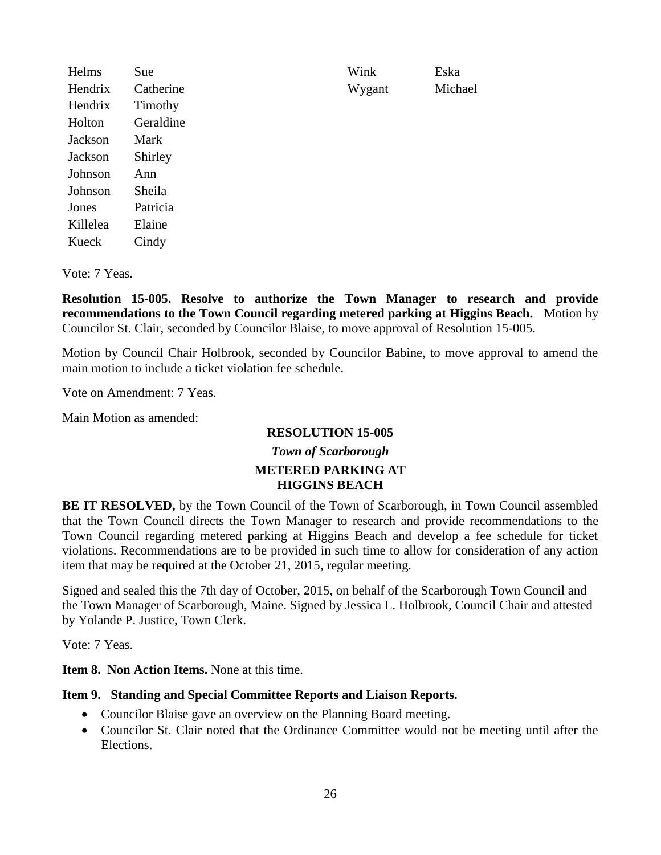Helms Sue Wink Eska Hendrix Catherine Wygant Michael Hendrix Timothy Holton Geraldine Jackson Mark Jackson Shirley Johnson Ann Johnson Sheila Jones Patricia Killelea Elaine Kueck Cindy

Vote: 7 Yeas.

**Resolution 15-005. Resolve to authorize the Town Manager to research and provide recommendations to the Town Council regarding metered parking at Higgins Beach.** Motion by Councilor St. Clair, seconded by Councilor Blaise, to move approval of Resolution 15-005.

Motion by Council Chair Holbrook, seconded by Councilor Babine, to move approval to amend the main motion to include a ticket violation fee schedule.

Vote on Amendment: 7 Yeas.

Main Motion as amended:

## **RESOLUTION 15-005**

### *Town of Scarborough* **METERED PARKING AT HIGGINS BEACH**

**BE IT RESOLVED,** by the Town Council of the Town of Scarborough, in Town Council assembled that the Town Council directs the Town Manager to research and provide recommendations to the Town Council regarding metered parking at Higgins Beach and develop a fee schedule for ticket violations. Recommendations are to be provided in such time to allow for consideration of any action item that may be required at the October 21, 2015, regular meeting.

Signed and sealed this the 7th day of October, 2015, on behalf of the Scarborough Town Council and the Town Manager of Scarborough, Maine. Signed by Jessica L. Holbrook, Council Chair and attested by Yolande P. Justice, Town Clerk.

Vote: 7 Yeas.

**Item 8. Non Action Items.** None at this time.

#### **Item 9. Standing and Special Committee Reports and Liaison Reports.**

- Councilor Blaise gave an overview on the Planning Board meeting.
- Councilor St. Clair noted that the Ordinance Committee would not be meeting until after the Elections.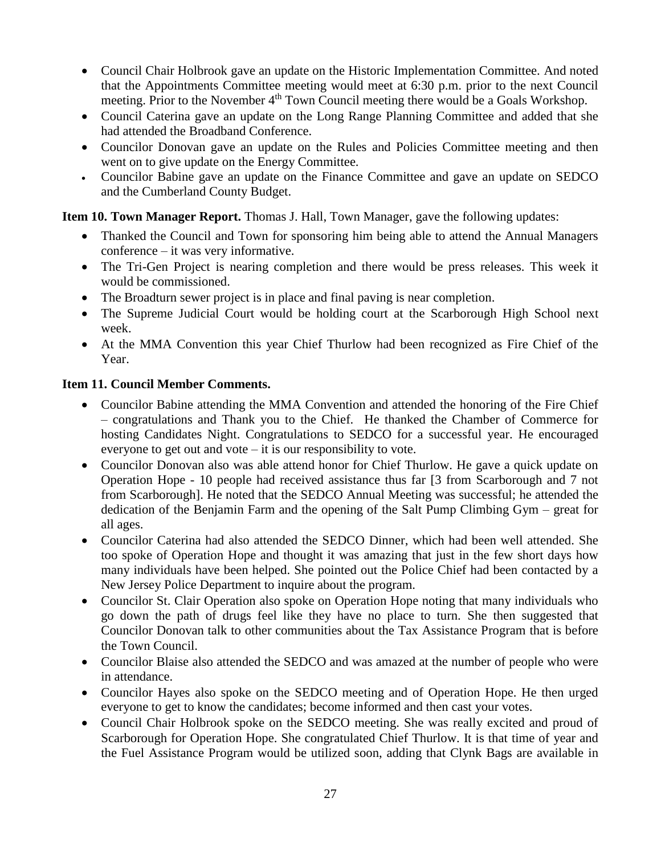- Council Chair Holbrook gave an update on the Historic Implementation Committee. And noted that the Appointments Committee meeting would meet at 6:30 p.m. prior to the next Council meeting. Prior to the November 4<sup>th</sup> Town Council meeting there would be a Goals Workshop.
- Council Caterina gave an update on the Long Range Planning Committee and added that she had attended the Broadband Conference.
- Councilor Donovan gave an update on the Rules and Policies Committee meeting and then went on to give update on the Energy Committee.
- Councilor Babine gave an update on the Finance Committee and gave an update on SEDCO and the Cumberland County Budget.

**Item 10. Town Manager Report.** Thomas J. Hall, Town Manager, gave the following updates:

- Thanked the Council and Town for sponsoring him being able to attend the Annual Managers conference – it was very informative.
- The Tri-Gen Project is nearing completion and there would be press releases. This week it would be commissioned.
- The Broadturn sewer project is in place and final paving is near completion.
- The Supreme Judicial Court would be holding court at the Scarborough High School next week.
- At the MMA Convention this year Chief Thurlow had been recognized as Fire Chief of the Year.

### **Item 11. Council Member Comments.**

- Councilor Babine attending the MMA Convention and attended the honoring of the Fire Chief – congratulations and Thank you to the Chief. He thanked the Chamber of Commerce for hosting Candidates Night. Congratulations to SEDCO for a successful year. He encouraged everyone to get out and vote – it is our responsibility to vote.
- Councilor Donovan also was able attend honor for Chief Thurlow. He gave a quick update on Operation Hope - 10 people had received assistance thus far [3 from Scarborough and 7 not from Scarborough]. He noted that the SEDCO Annual Meeting was successful; he attended the dedication of the Benjamin Farm and the opening of the Salt Pump Climbing Gym – great for all ages.
- Councilor Caterina had also attended the SEDCO Dinner, which had been well attended. She too spoke of Operation Hope and thought it was amazing that just in the few short days how many individuals have been helped. She pointed out the Police Chief had been contacted by a New Jersey Police Department to inquire about the program.
- Councilor St. Clair Operation also spoke on Operation Hope noting that many individuals who go down the path of drugs feel like they have no place to turn. She then suggested that Councilor Donovan talk to other communities about the Tax Assistance Program that is before the Town Council.
- Councilor Blaise also attended the SEDCO and was amazed at the number of people who were in attendance.
- Councilor Hayes also spoke on the SEDCO meeting and of Operation Hope. He then urged everyone to get to know the candidates; become informed and then cast your votes.
- Council Chair Holbrook spoke on the SEDCO meeting. She was really excited and proud of Scarborough for Operation Hope. She congratulated Chief Thurlow. It is that time of year and the Fuel Assistance Program would be utilized soon, adding that Clynk Bags are available in